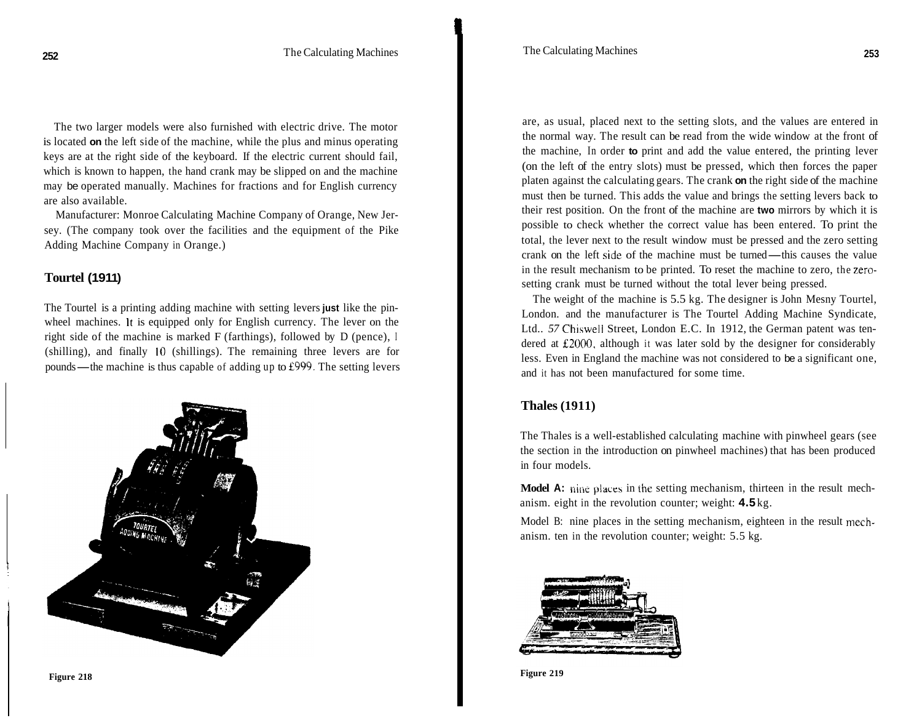The two larger models were also furnished with electric drive. The motor is located **on** the left side of the machine, while the plus and minus operating keys are at the right side of the keyboard. If the electric current should fail, which is known to happen, the hand crank may be slipped on and the machine may be operated manually. Machines for fractions and for English currency are also available.

Manufacturer: Monroe Calculating Machine Company of Orange, New Jersey. (The company took over the facilities and the equipment of the Pike Adding Machine Company in Orange.)

# **Tourtel (1911)**

The Tourtel is a printing adding machine with setting levers **just** like the pinwheel machines. It is equipped only for English currency. The lever on the right side of the machine is marked F (farthings), followed by D (pence), I (shilling), and finally 10 (shillings). The remaining three levers are for pounds—the machine is thus capable of adding up to  $£999$ . The setting levers



are, as usual, placed next to the setting slots, and the values are entered in the normal way. The result can be read from the wide window at the front of the machine, In order **to** print and add the value entered, the printing lever (on the left of the entry slots) must be pressed, which then forces the paper platen against the calculating gears. The crank **on** the right side of the machine must then be turned. This adds the value and brings the setting levers back to their rest position. On the front of the machine are **two** mirrors by which it is possible to check whether the correct value has been entered. To print the total, the lever next to the result window must be pressed and the zero setting possible to check whether the correct value has been entered. To print the total, the lever next to the result window must be pressed and the zero setting crank on the left side of the machine must be turned—this causes th in the result mechanism to be printed. To reset the machine to zero, the zerosetting crank must be turned without the total lever being pressed.

The weight of the machine is 5.5 kg. The designer is John Mesny Tourtel, London. and the manufacturer is The Tourtel Adding Machine Syndicate, Ltd.. *57* Chiswell Street, London E.C. In 1912, the German patent was tendered at E2000, although it was later sold by the designer for considerably less. Even in England the machine was not considered to be a significant one, and it has not been manufactured for some time.

# **Thales (1911)**

The Thales is a well-established calculating machine with pinwheel gears (see the section in the introduction on pinwheel machines) that has been produced in four models.

**Model A:** nine places in the setting mechanism, thirteen in the result mechanism. eight in the revolution counter; weight: **4.5** kg.

Model B: nine places in the setting mechanism, eighteen in the result mechanism. ten in the revolution counter; weight: 5.5 kg.



**Figure 219**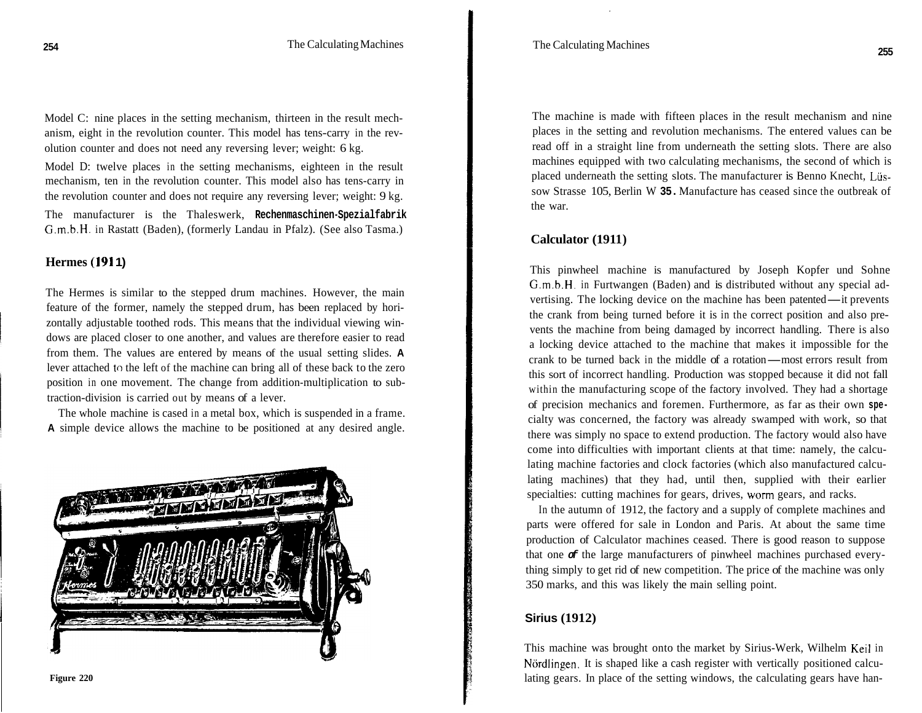Model C: nine places in the setting mechanism, thirteen in the result mechanism, eight in the revolution counter. This model has tens-carry in the revolution counter and does not need any reversing lever; weight: 6 kg.

Model D: twelve places in the setting mechanisms, eighteen in the result mechanism, ten in the revolution counter. This model also has tens-carry in the revolution counter and does not require any reversing lever; weight: 9 kg.

The manufacturer is the Thaleswerk, **Rechenmaschinen-Spezialfabrik**  G.m.b.H. in Rastatt (Baden), (formerly Landau in Pfalz). (See also Tasma.)

## **Hermes (191 1)**

The Hermes is similar to the stepped drum machines. However, the main feature of the former, namely the stepped drum, has been replaced by horizontally adjustable toothed rods. This means that the individual viewing windows are placed closer to one another, and values are therefore easier to read from them. The values are entered by means of the usual setting slides. **A**  lever attached to the left of the machine can bring all of these back to the zero position in one movement. The change from addition-multiplication to subtraction-division is carried out by means of a lever.

The whole machine is cased in a metal box, which is suspended in a frame. **A** simple device allows the machine to be positioned at any desired angle.



The machine is made with fifteen places in the result mechanism and nine places in the setting and revolution mechanisms. The entered values can be read off in a straight line from underneath the setting slots. There are also machines equipped with two calculating mechanisms, the second of which is placed underneath the setting slots. The manufacturer is Benno Knecht, Lüssow Strasse 105, Berlin W **35.** Manufacture has ceased since the outbreak of the war.

#### **Calculator (1911)**

This pinwheel machine is manufactured by Joseph Kopfer und Sohne G.m.b.H. in Furtwangen (Baden) and is distributed without any special advertising. The locking device on the machine has been patented—it prevents the crank from being turned before it is in the correct position and also prevents the machine from being damaged by incorrect handling. There is also a locking device attached to the machine that makes it impossible for the vents the machine from being damaged by incorrect handling. There is also<br>a locking device attached to the machine that makes it impossible for the<br>crank to be turned back in the middle of a rotation—most errors result fro this sort of incorrect handling. Production was stopped because it did not fall within the manufacturing scope of the factory involved. They had a shortage of precision mechanics and foremen. Furthermore, as far as their own **spe**cialty was concerned, the factory was already swamped with work, so that there was simply no space to extend production. The factory would also have come into difficulties with important clients at that time: namely, the calculating machine factories and clock factories (which also manufactured calculating machines) that they had, until then, supplied with their earlier specialties: cutting machines for gears, drives, worm gears, and racks.

In the autumn of 1912, the factory and a supply of complete machines and parts were offered for sale in London and Paris. At about the same time production of Calculator machines ceased. There is good reason to suppose that one *of* the large manufacturers of pinwheel machines purchased everything simply to get rid of new competition. The price of the machine was only 350 marks, and this was likely the main selling point.

#### **Sirius (1912)**

This machine was brought onto the market by Sirius-Werk, Wilhelm Keil in Nördlingen. It is shaped like a cash register with vertically positioned calculating gears. In place of the setting windows, the calculating gears have han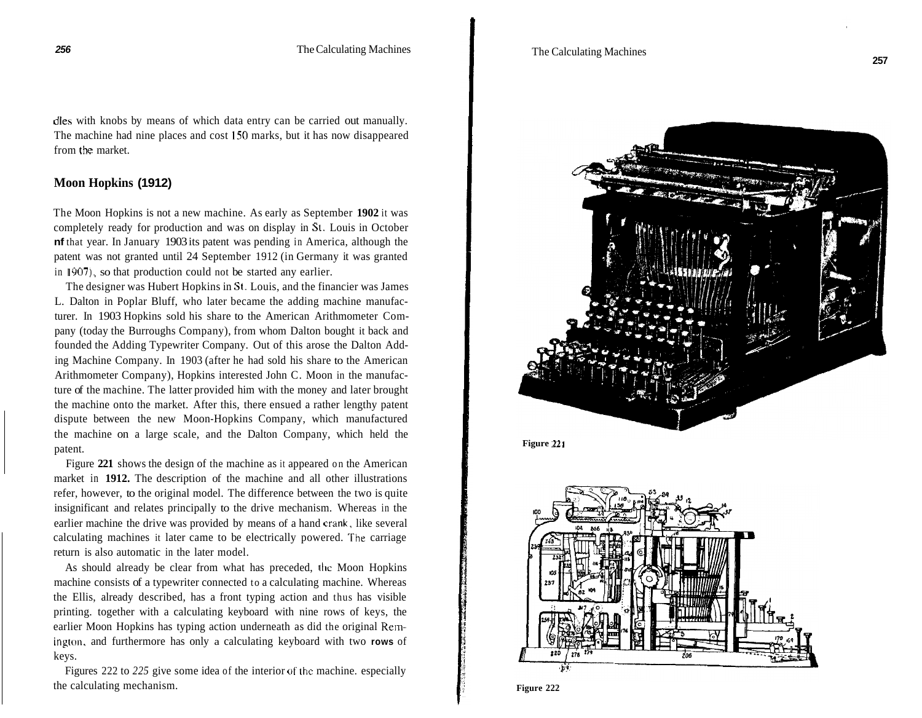dles with knobs by means of which data entry can be carried out manually. The machine had nine places and cost **150** marks, but it has now disappeared from the market.

# **Moon Hopkins (1912)**

The Moon Hopkins is not a new machine. As early as September **1902** it was completely ready for production and was on display in **St.** Louis in October **nf** that year. In January 1903 its patent was pending in America, although the patent was not granted until 24 September 1912 (in Germany it was granted in **1907),** so that production could not be started any earlier.

The designer was Hubert Hopkins in **St.** Louis, and the financier was James L. Dalton in Poplar Bluff, who later became the adding machine manufacturer. In 1903 Hopkins sold his share to the American Arithmometer Company (today the Burroughs Company), from whom Dalton bought it back and founded the Adding Typewriter Company. Out of this arose the Dalton Adding Machine Company. In 1903 (after he had sold his share to the American Arithmometer Company), Hopkins interested John C. Moon in the manufacture of the machine. The latter provided him with the money and later brought the machine onto the market. After this, there ensued a rather lengthy patent dispute between the new Moon -Hopkins Company, which manufactured the machine on a large scale, and the Dalton Company, which held the patent.

Figure **221** shows the design of the machine as it appeared on the American market in **1912.** The description of the machine and all other illustrations refer, however, to the original model. The difference between the two is quite insignificant and relates principally to the drive mechanism. Whereas in the earlier machine the drive was provided by means of a hand crank, like several calculating machines it later came to be electrically powered. The carriage return is also automatic in the later model.

As should already be clear from what has preceded, the Moon Hopkins machine consists of a typewriter connected to a calculating machine. Whereas the Ellis, already described, has a front typing action and thus has visible printing. together with a calculating keyboard with nine rows of keys, the earlier Moon Hopkins has typing action underneath as did the original Remington, and furthermore has only a calculating keyboard with two **rows** of keys.

Figures 222 to 225 give some idea of the interior of the machine. especially the calculating mechanism.



**Figure 221** 



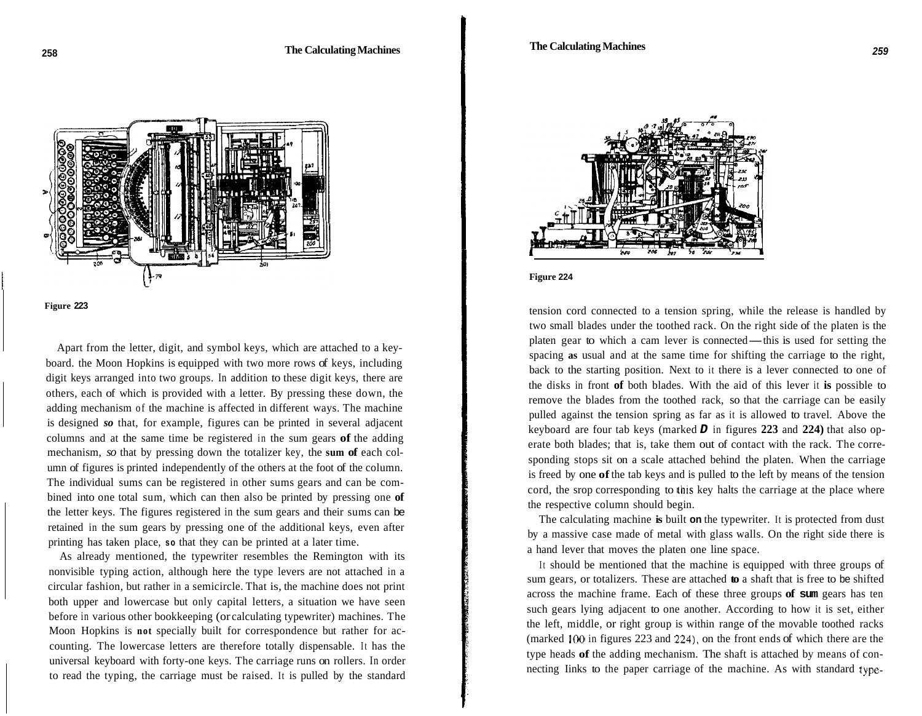



Apart from the letter, digit, and symbol keys, which are attached to a keyboard. the Moon Hopkins is equipped with two more rows of keys, including digit keys arranged into two groups. In addition to these digit keys, there are others, each of which is provided with a letter. By pressing these down, the adding mechanism of the machine is affected in different ways. The machine is designed *so* that, for example, figures can be printed in several adjacent columns and at the same time be registered in the sum gears **of** the adding mechanism, *so* that by pressing down the totalizer key, the **sum of** each column of figures is printed independently of the others at the foot of the column. The individual sums can be registered in other sums gears and can be combined into one total sum, which can then also be printed by pressing one **of**  the letter keys. The figures registered in the sum gears and their sums can be retained in the sum gears by pressing one of the additional keys, even after printing has taken place, **so** that they can be printed at a later time.

As already mentioned, the typewriter resembles the Remington with its nonvisible typing action, although here the type levers are not attached in a circular fashion, but rather in a semicircle. That is, the machine does not print both upper and lowercase but only capital letters, a situation we have seen before in various other bookkeeping (or calculating typewriter) machines. The Moon Hopkins is **not** specially built for correspondence but rather for accounting. The lowercase letters are therefore totally dispensable. It has the universal keyboard with forty-one keys. The carriage runs on rollers. In order to read the typing, the carriage must be raised. It is pulled by the standard



**Figure 224** 

tension cord connected to a tension spring, while the release is handled by two small blades under the toothed rack. On the right side of the platen is the tension cord connected to a tension spring, while the release is handled by<br>two small blades under the toothed rack. On the right side of the platen is the<br>platen gear to which a cam lever is connected—this is used for set spacing **as** usual and at the same time for shifting the carriage to the right, back to the starting position. Next to it there is a lever connected to one of the disks in front **of** both blades. With the aid of this lever it **is** possible to remove the blades from the toothed rack, so that the carriage can be easily pulled against the tension spring as far as it is allowed to travel. Above the keyboard are four tab keys (marked *D* in figures **223** and **224)** that also operate both blades; that is, take them out of contact with the rack. The corresponding stops sit on a scale attached behind the platen. When the carriage is freed by one **of** the tab keys and is pulled to the left by means of the tension cord, the srop corresponding to this key halts the carriage at the place where the respective column should begin.

The calculating machine **is** built **on** the typewriter. It is protected from dust by a massive case made of metal with glass walls. On the right side there is a hand lever that moves the platen one line space.

It should be mentioned that the machine is equipped with three groups of sum gears, or totalizers. These are attached **to** a shaft that is free to be shifted across the machine frame. Each of these three groups **of sum** gears has ten such gears lying adjacent to one another. According to how it is set, either the left, middle, or right group is within range of the movable toothed racks (marked 100 in figures 223 and **224).** on the front ends of which there are the type heads **of** the adding mechanism. The shaft is attached by means of connecting Iinks to the paper carriage of the machine. As with standard type-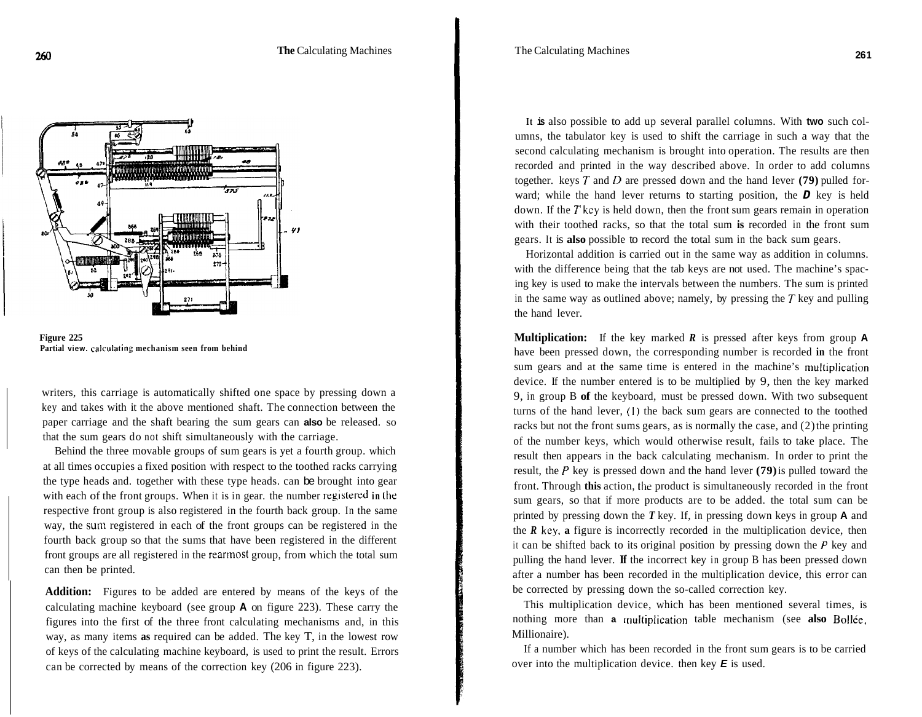



writers, this carriage is automatically shifted one space by pressing down a key and takes with it the above mentioned shaft. The connection between the paper carriage and the shaft bearing the sum gears can **also** be released. so that the sum gears do not shift simultaneously with the carriage.

Behind the three movable groups of sum gears is yet a fourth group. which at all times occupies a fixed position with respect to the toothed racks carrying the type heads and. together with these type heads. can be brought into gear with each of the front groups. When it is in gear. the number registered in the respective front group is also registered in the fourth back group. In the same way, the sum registered in each of the front groups can be registered in the fourth back group so that the sums that have been registered in the different front groups are all registered in the rearmost group, from which the total sum can then be printed.

**Addition:** Figures to be added are entered by means of the keys of the calculating machine keyboard (see group **A** on figure 223). These carry the figures into the first of the three front calculating mechanisms and, in this way, as many items **as** required can be added. The key T, in the lowest row of keys of the calculating machine keyboard, is used to print the result. Errors can be corrected by means of the correction key (206 in figure 223).

**It is** also possible to add up several parallel columns. With **two** such columns, the tabulator key is used to shift the carriage in such a way that the second calculating mechanism is brought into operation. The results are then recorded and printed in the way described above. In order to add columns together. keys *T* and *D* are pressed down and the hand lever **(79)** pulled forward; while the hand lever returns to starting position, the *D* key is held down. If the *T* key is held down, then the front sum gears remain in operation with their toothed racks, so that the total sum **is** recorded in the front sum gears. It is **also** possible to record the total sum in the back sum gears.

Horizontal addition is carried out in the same way as addition in columns. with the difference being that the tab keys are not used. The machine's spacing key is used to make the intervals between the numbers. The sum is printed in the same way as outlined above; namely, by pressing the *T* key and pulling the hand lever.

**Multiplication:** If the key marked *R* is pressed after keys from group **A**  have been pressed down, the corresponding number is recorded **in** the front sum gears and at the same time is entered in the machine's multiplication device. If the number entered is to be multiplied by 9, then the key marked 9, in group B **of** the keyboard, must be pressed down. With two subsequent turns of the hand lever, (1) the back sum gears are connected to the toothed racks but not the front sums gears, as is normally the case, and (2) the printing of the number keys, which would otherwise result, fails to take place. The result then appears in the back calculating mechanism. In order to print the result, the *P* key is pressed down and the hand lever **(79)** is pulled toward the front. Through **this** action, **the** product is simultaneously recorded in the front sum gears, so that if more products are to be added. the total sum can be printed by pressing down the *T* key. If, in pressing down keys in group **A** and the *R* kcy. **a** figure is incorrectly recorded in the multiplication device, then it can be shifted back to its original position by pressing down the *P* key and pulling the hand lever. **If** the incorrect key in group B has been pressed down after a number has been recorded in the multiplication device, this error can be corrected by pressing down the so-called correction key.

This multiplication device, which has been mentioned several times, is nothing more than **a** muitiplication table mechanism (see **also** Boltee, Millionaire).

If a number which has been recorded in the front sum gears is to be carried over into the multiplication device. then key *E* is used.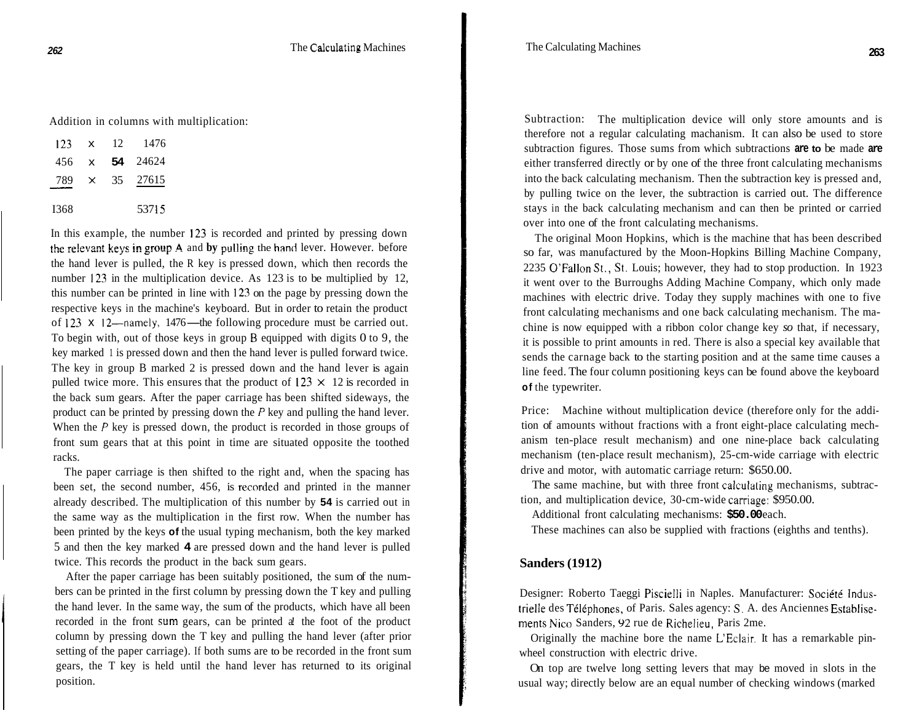Addition in columns with multiplication:

|       |                 | Audition in columns with |
|-------|-----------------|--------------------------|
|       | $123 \times 12$ | -1476                    |
| 456 x |                 | 54 24624                 |
| 789 × |                 | 35 27615                 |
| I368  |                 | 53715                    |

In this example, the number 123 is recorded and printed by pressing down **the relevant keys in group A and by pulling the hand lever. However. before** the hand lever is pulled, the R key is pressed down, which then records the number 123 in the multiplication device. As 123 is to be multiplied by 12, this number can be printed in line with 123 on the page by pressing down the respective keys in the machine's keyboard. But in order to retain the product of 123  $\times$  12-namely, 1476-the following procedure must be carried out. To begin with, out of those keys in group **B** equipped with digits 0 to 9, the key marked 1 is pressed down and then the hand lever is pulled forward twice. The key in group B marked 2 is pressed down and the hand lever is again pulled twice more. This ensures that the product of  $123 \times 12$  is recorded in the back sum gears. After the paper carriage has been shifted sideways, the product can be printed by pressing down the *P* key and pulling the hand lever. When the *P* key is pressed down, the product is recorded in those groups of front sum gears that at this point in time are situated opposite the toothed racks.

The paper carriage is then shifted to the right and, when the spacing has been set, the second number, 456, is recorded and printed in the manner already described. The multiplication of this number by **54** is carried out in the same way as the multiplication in the first row. When the number has been printed by the keys **of** the usual typing mechanism, both the key marked 5 and then the key marked **4** are pressed down and the hand lever is pulled twice. This records the product in the back sum gears.

After the paper carriage has been suitably positioned, the sum of the numbers can be printed in the first column by pressing down the T key and pulling the hand lever. In the same way, the sum of the products, which have all been recorded in the front **sum** gears, can be printed a! the foot of the product column by pressing down the T key and pulling the hand lever (after prior setting of the paper carriage). If both sums are to be recorded in the front sum gears, the T key is held until the hand lever has returned to its original position.

Subtraction: The multiplication device will only store amounts and is therefore not a regular calculating machanism. It can also be used to store subtraction figures. Those sums from which subtractions **are to** be made **are**  either transferred directly or by one of the three front calculating mechanisms into the back calculating mechanism. Then the subtraction key is pressed and, by pulling twice on the lever, the subtraction is carried out. The difference stays in the back calculating mechanism and can then be printed or carried over into one of the front calculating mechanisms.

The original Moon Hopkins, which is the machine that has been described so far, was manufactured by the Moon-Hopkins Billing Machine Company, 2235 O'Fallon St., St. Louis; however, they had to stop production. In 1923 it went over to the Burroughs Adding Machine Company, which only made machines with electric drive. Today they supply machines with one to five front calculating mechanisms and one back calculating mechanism. The machine is now equipped with a ribbon color change key *so* that, if necessary, it is possible to print amounts in red. There is also a special key available that sends the carnage back to the starting position and at the same time causes a line feed. The four column positioning keys can be found above the keyboard **of** the typewriter.

Price: Machine without multiplication device (therefore only for the addition of amounts without fractions with a front eight-place calculating mechanism ten-place result mechanism) and one nine-place back calculating mechanism (ten-place result mechanism), 25-cm-wide carriage with electric drive and motor, with automatic carriage return: \$650.00.

The same machine, but with three front calculating mechanisms, subtraction, and multiplication device, 30-cm-wide carriage: \$950.00.

Additional front calculating mechanisms: **\$50.00** each.

These machines can also be supplied with fractions (eighths and tenths).

#### **Sanders (1912)**

Designer: Roberto Taeggi Piscielli in Naples. Manufacturer: Société Industrielle des Téléphones, of Paris. Sales agency: S. A. des Anciennes Establisements Nico Sanders, **92** rue de Richelieu, Paris 2me.

Originally the machine bore the name L'Eclair. It has a remarkable pinwheel construction with electric drive.

On top are twelve long setting levers that may be moved in slots in the usual way; directly below are an equal number of checking windows (marked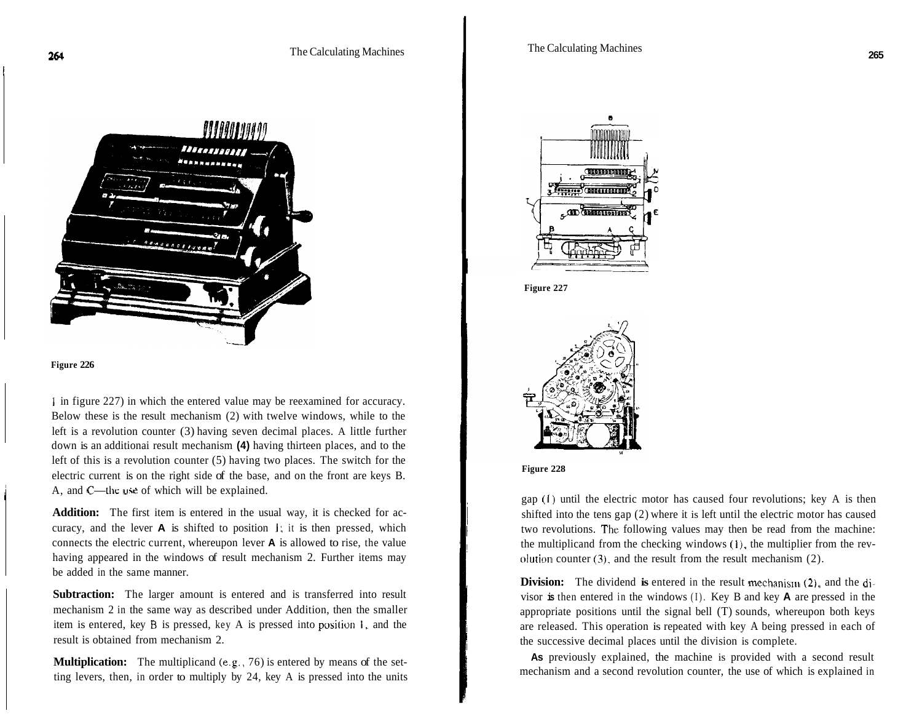



1

**<sup>1</sup>**in figure 227) in which the entered value may be reexamined for accuracy. Below these is the result mechanism (2) with twelve windows, while to the left is a revolution counter (3) having seven decimal places. A little further down is an additionai result mechanism **(4)** having thirteen places, and to the left of this is a revolution counter (5) having two places. The switch for the electric current is on the right side of the base, and on the front are keys B. A, and C—the use of which will be explained.

**Addition:** The first item is entered in the usual way, it is checked for accuracy, and the lever **A** is shifted to position 1; it is then pressed, which connects the electric current, whereupon lever **A** is allowed to rise, the value having appeared in the windows of result mechanism 2. Further items may be added in the same manner.

**Subtraction:** The larger amount is entered and is transferred into result mechanism 2 in the same way as described under Addition, then the smaller item is entered, key **B** is pressed, key A is pressed into **position i,** and the result is obtained from mechanism 2.

**Multiplication:** The multiplicand (e.g., 76) is entered by means of the setting levers, then, in order to multiply by 24, key A is pressed into the units









I i I !

:

i I i

i

gap (1) until the electric motor has caused four revolutions; key A is then shifted into the tens gap (2) where it is left until the electric motor has caused two revolutions. The following values may then be read from the machine: the multiplicand from the checking windows (I), the multiplier from the revolution counter  $(3)$ , and the result from the result mechanism  $(2)$ .

**Division:** The dividend **is** entered in the result mechanism *(2),* and the divisor **is** then entered in the windows (I). Key B and key **A** are pressed in the appropriate positions until the signal bell (T) sounds, whereupon both keys are released. This operation is repeated with key A being pressed in each of the successive decimal places until the division is complete.

mechanism and a second revolution counter, the use of which is explained in As previously explained, the machine is provided with a second result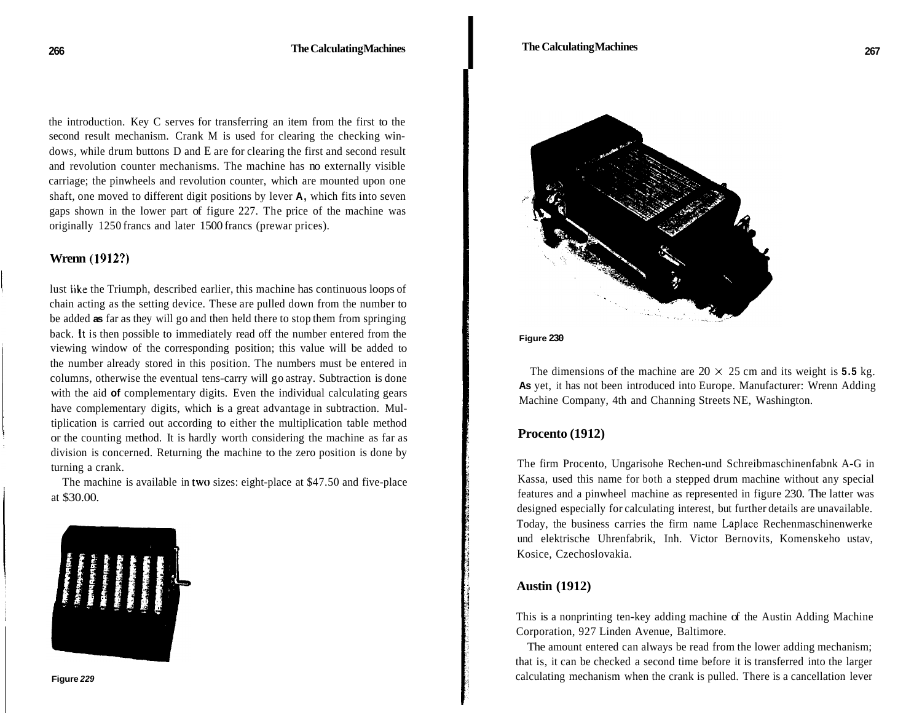the introduction. Key C serves for transferring an item from the first to the second result mechanism. Crank M is used for clearing the checking windows, while drum buttons D and E are for clearing the first and second result and revolution counter mechanisms. The machine has no externally visible carriage; the pinwheels and revolution counter, which are mounted upon one shaft, one moved to different digit positions by lever **A,** which fits into seven gaps shown in the lower part of figure 227. The price of the machine was originally 1250 francs and later 1500 francs (prewar prices).

## **Wrenn (1912?)**

lust Iike the Triumph, described earlier, this machine has continuous loops of chain acting as the setting device. These are pulled down from the number to be added **as** far as they will go and then held there to stop them from springing back. It is then possible to immediately read off the number entered from the viewing window of the corresponding position; this value will be added to the number already stored in this position. The numbers must be entered in columns, otherwise the eventual tens-carry will go astray. Subtraction is done with the aid **of** complementary digits. Even the individual calculating gears have complementary digits, which is a great advantage in subtraction. Multiplication is carried out according to either the multiplication table method or the counting method. It is hardly worth considering the machine as far as division is concerned. Returning the machine to the zero position is done by turning a crank.

The machine is available in two sizes: eight-place at \$47.50 and five-place at \$30.00.



**Figure** *229* 



**Figure 230** 

The dimensions of the machine are  $20 \times 25$  cm and its weight is **5.5** kg. **As** yet, it has not been introduced into Europe. Manufacturer: Wrenn Adding Machine Company, 4th and Channing Streets NE, Washington.

#### **Procento (1912)**

The firm Procento, Ungarisohe Rechen-und Schreibmaschinenfabnk A-G in Kassa, used this name for both a stepped drum machine without any special features and a pinwheel machine as represented in figure 230. The latter was designed especially for calculating interest, but further details are unavailable. Today, the business carries the firm name Laplace Rechenmaschinenwerke und elektrische Uhrenfabrik, Inh. Victor Bernovits, Komenskeho ustav, Kosice, Czechoslovakia.

### <sup>I</sup>**Austin (1912)**

This is a nonprinting ten-key adding machine of the Austin Adding Machine Corporation, 927 Linden Avenue, Baltimore.

The amount entered can always be read from the lower adding mechanism; that is, it can be checked a second time before it is transferred into the larger calculating mechanism when the crank is pulled. There is a cancellation lever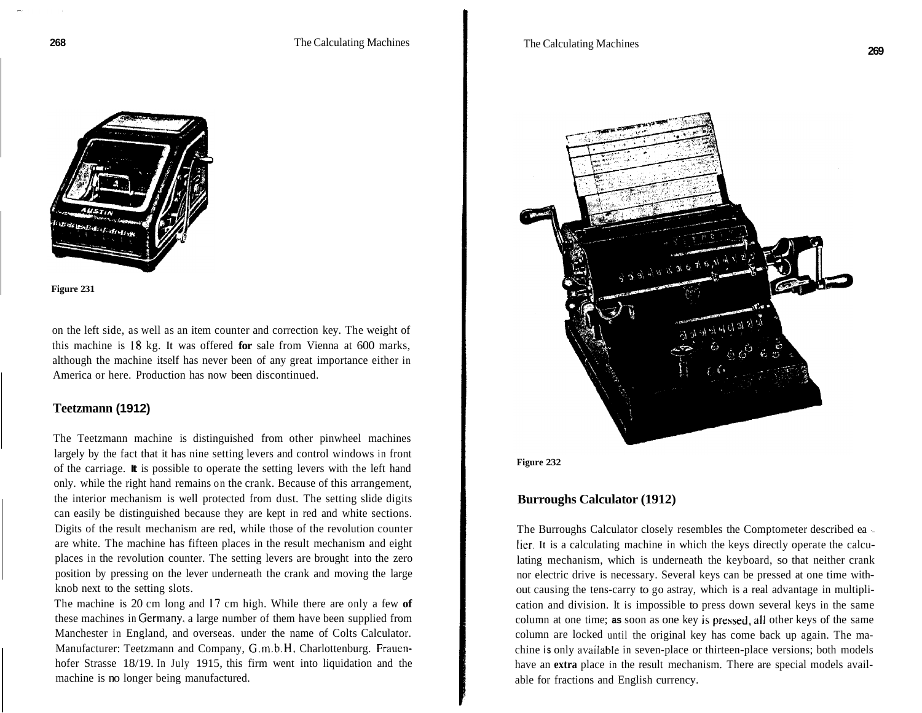**SEARCH THE MANUSCRY** 

**Figure 231** 

on the left side, as well as an item counter and correction key. The weight of this machine is **18** kg. **It** was offered **for** sale from Vienna at 600 marks, although the machine itself has never been of any great importance either in America or here. Production has now been discontinued.

### **Teetzmann (1912)**

The Teetzmann machine is distinguished from other pinwheel machines largely by the fact that it has nine setting levers and control windows in front of the carriage. **It** is possible to operate the setting levers with the left hand only. while the right hand remains on the crank. Because of this arrangement, the interior mechanism is well protected from dust. The setting slide digits can easily be distinguished because they are kept in red and white sections. Digits of the result mechanism are red, while those of the revolution counter are white. The machine has fifteen places in the result mechanism and eight places in the revolution counter. The setting levers are brought into the zero position by pressing on the lever underneath the crank and moving the large knob next to the setting slots.

The machine is 20 cm long and 17 cm high. While there are only a few **of**  these machines in Germany. a large number of them have been supplied from Manchester in England, and overseas. under the name of Colts Calculator. Manufacturer: Teetzmann and Company, G.m.b.H, Charlottenburg. Frauenhofer Strasse 18/19. In July 1915, this firm went into liquidation and the machine is no longer being manufactured.



**Figure 232** 

#### **Burroughs Calculator (1912)**

The Burroughs Calculator closely resembles the Comptometer described ea ' lier. **It** is a calculating machine in which the keys directly operate the calculating mechanism, which is underneath the keyboard, so that neither crank nor electric drive is necessary. Several keys can be pressed at one time without causing the tens-carry to go astray, which is a real advantage in multiplication and division. It is impossible to press down several keys in the same column at one time; **as** soon as one key is pressed, all other keys of the same column are locked until the original key has come back up again. The machine **is** only avaiiable in seven-place or thirteen-place versions; both models have an **extra** place in the result mechanism. There are special models available for fractions and English currency.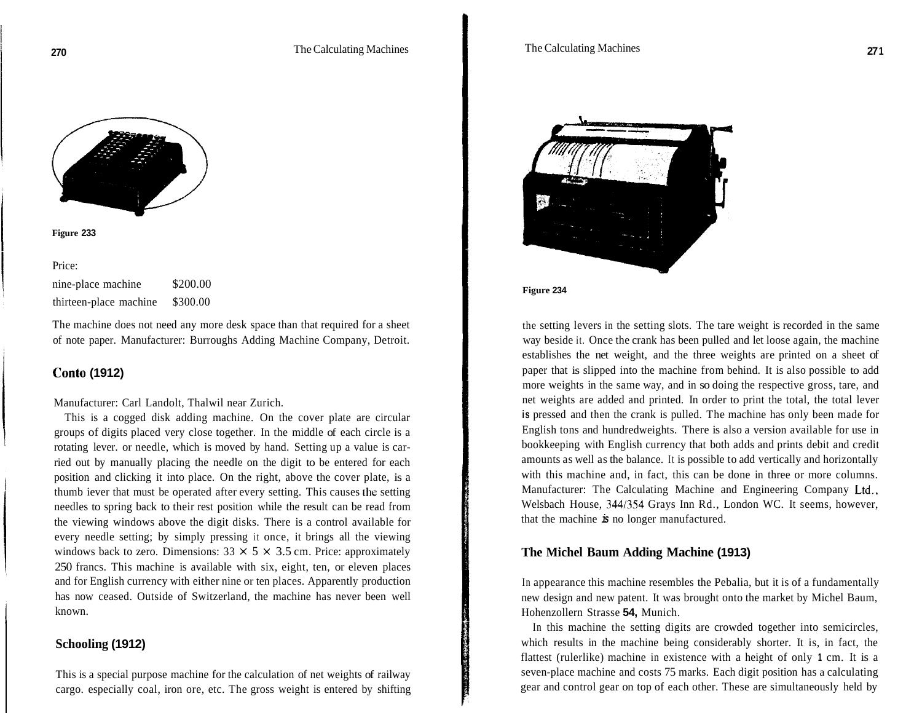

| Figure 233 |  |
|------------|--|
|------------|--|

Price: nine-place machine \$200.00 thirteen-place machine \$300.00

The machine does not need any more desk space than that required for a sheet of note paper. Manufacturer: Burroughs Adding Machine Company, Detroit.

# **Conto (1912)**

#### Manufacturer: Carl Landolt, Thalwil near Zurich.

This is a cogged disk adding machine. On the cover plate are circular groups of digits placed very close together. In the middle of each circle is a rotating lever. or needle, which is moved by hand. Setting up a value is carried out by manually placing the needle on the digit to be entered for each position and clicking it into place. On the right, above the cover plate, is a thumb iever that must be operated after every setting. This causes the setting needles to spring back to their rest position while the result can be read from the viewing windows above the digit disks. There is a control available for every needle setting; by simply pressing it once, it brings all the viewing windows back to zero. Dimensions:  $33 \times 5 \times 3.5$  cm. Price: approximately 250 francs. This machine is available with six, eight, ten, or eleven places and for English currency with either nine or ten places. Apparently production has now ceased. Outside of Switzerland, the machine has never been well known.

# **Schooling (1912)**

This is a special purpose machine for the calculation of net weights of railway cargo. especially coal, iron ore, etc. The gross weight is entered by shifting



**Figure 234** 

the setting levers in the setting slots. The tare weight is recorded in the same way beside it. Once the crank has been pulled and let loose again, the machine establishes the net weight, and the three weights are printed on a sheet of paper that is slipped into the machine from behind. It is also possible to add more weights in the same way, and in so doing the respective gross, tare, and net weights are added and printed. In order to print the total, the total lever **is** pressed and then the crank is pulled. The machine has only been made for English tons and hundredweights. There is also a version available for use in bookkeeping with English currency that both adds and prints debit and credit amounts as well as the balance. It is possible to add vertically and horizontally with this machine and, in fact, this can be done in three or more columns. Manufacturer: The Calculating Machine and Engineering Company Ltd., Welsbach House, 3441354 Grays Inn Rd., London WC. It seems, however, that the machine *is* no longer manufactured.

#### **The Michel Baum Adding Machine (1913)**

In appearance this machine resembles the Pebalia, but it is of a fundamentally new design and new patent. It was brought onto the market by Michel Baum, Hohenzollern Strasse **54,** Munich.

In this machine the setting digits are crowded together into semicircles, which results in the machine being considerably shorter. It is, in fact, the flattest (rulerlike) machine in existence with a height of only **1** cm. It is a seven-place machine and costs 75 marks. Each digit position has a calculating gear and control gear on top of each other. These are simultaneously held by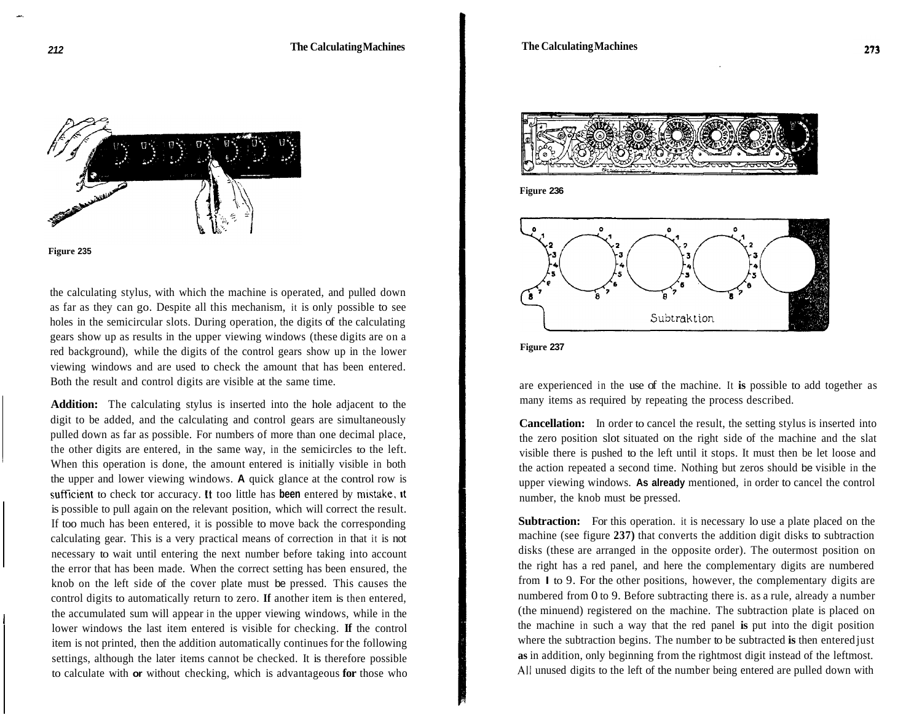



the calculating stylus, with which the machine is operated, and pulled down as far as they can go. Despite all this mechanism, it is only possible to see holes in the semicircular slots. During operation, the digits of the calculating gears show up as results in the upper viewing windows (these digits are on a red background), while the digits of the control gears show up in the lower viewing windows and are used to check the amount that has been entered. Both the result and control digits are visible at the same time.

**Addition:** The calculating stylus is inserted into the hole adjacent to the digit to be added, and the calculating and control gears are simultaneously pulled down as far as possible. For numbers of more than one decimal place, the other digits are entered, in the same way, in the semicircles to the left. When this operation is done, the amount entered is initially visible in both the upper and lower viewing windows. **A** quick glance at the control row is sufficient to check tor accuracy. it too little has **been** entered by mistake, it is possible to pull again on the relevant position, which will correct the result. If too much has been entered, it is possible to move back the corresponding calculating gear. This is a very practical means of correction in that it is not necessary to wait until entering the next number before taking into account the error that has been made. When the correct setting has been ensured, the knob on the left side of the cover plate must be pressed. This causes the control digits to automatically return to zero. **If** another item is then entered, the accumulated sum will appear in the upper viewing windows, while in the lower windows the last item entered is visible for checking. **If** the control item is not printed, then the addition automatically continues for the following settings, although the later items cannot be checked. It is therefore possible to calculate with **or** without checking, which is advantageous **for** those who



**Figure 236** 





are experienced in the use of the machine. It **is** possible to add together as many items as required by repeating the process described.

**Cancellation:** In order to cancel the result, the setting stylus is inserted into the zero position slot situated on the right side of the machine and the slat visible there is pushed to the left until it stops. It must then be let loose and the action repeated a second time. Nothing but zeros should be visible in the upper viewing windows. **As already** mentioned, in order to cancel the control number, the knob must be pressed.

**Subtraction:** For this operation. it is necessary lo use a plate placed on the machine (see figure **237)** that converts the addition digit disks to subtraction disks (these are arranged in the opposite order). The outermost position on the right has a red panel, and here the complementary digits are numbered from **I** to 9. For the other positions, however, the complementary digits are numbered from 0 to 9. Before subtracting there is. as a rule, already a number (the minuend) registered on the machine. The subtraction plate is placed on the machine in such a way that the red panel **is** put into the digit position where the subtraction begins. The number to be subtracted **is** then entered just **as** in addition, only beginning from the rightmost digit instead of the leftmost. **All** unused digits to the left of the number being entered are pulled down with

-.

I

I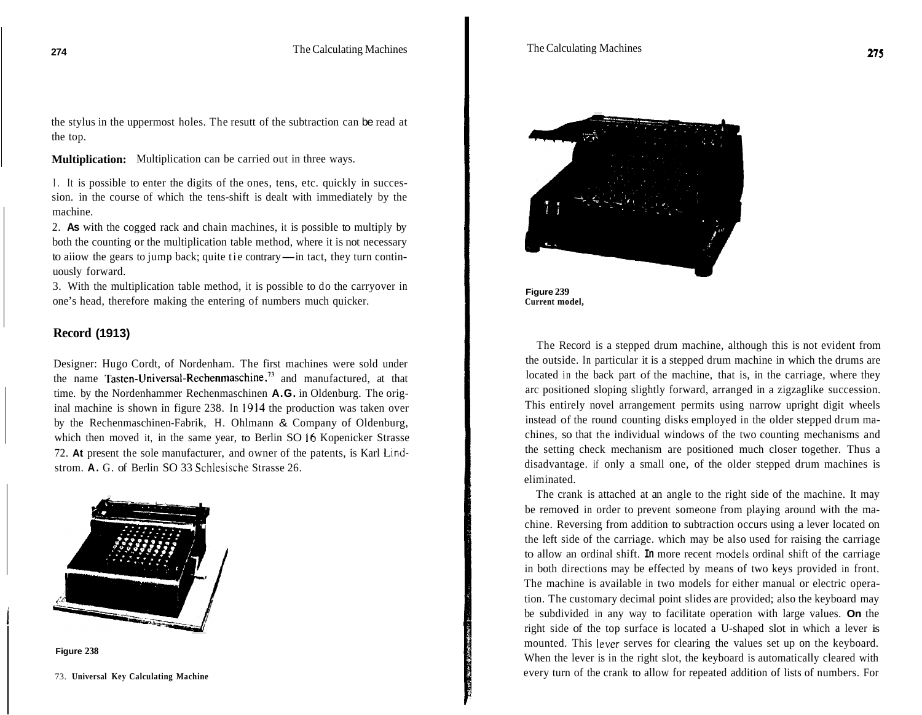the stylus in the uppermost holes. The resutt of the subtraction can be read at the top.

**Multiplication:**  Multiplication can be carried out in three ways.

I. It is possible to enter the digits of the ones, tens, etc. quickly in succession. in the course of which the tens-shift is dealt with immediately by the machine.

2. **As** with the cogged rack and chain machines, it is possible to multiply by both the counting or the multiplication table method, where it is not necessary 2. As with the cogged rack and chain machines, it is possible to multiply by both the counting or the multiplication table method, where it is not necessary to aiiow the gears to jump back; quite tie contrary—in tact, they uously forward.

3. With the multiplication table method, it is possible to do the carryover in one's head, therefore making the entering of numbers much quicker.

# **Record (1913)**

Designer: Hugo Cordt, of Nordenham. The first machines were sold under the name **Tasten-Universal-Rechenmaschine,73** and manufactured, at that time. by the Nordenhammer Rechenmaschinen **A.G.** in Oldenburg. The original machine is shown in figure 238. In **1914** the production was taken over by the Rechenmaschinen-Fabrik, H. Ohlmann & Company of Oldenburg, which then moved it, in the same year, to Berlin SO 16 Kopenicker Strasse 72. **At** present the sole manufacturer, and owner of the patents, is Karl Lindstrom. **A.** G. of Berlin SO 33 Schlesische Strasse 26.





73. **Universal Key Calculating Machine** 





The Record is a stepped drum machine, although this is not evident from the outside. In particular it is a stepped drum machine in which the drums are located in the back part of the machine, that is, in the carriage, where they arc positioned sloping slightly forward, arranged in a zigzaglike succession. This entirely novel arrangement permits using narrow upright digit wheels instead of the round counting disks employed in the older stepped drum machines, so that the individual windows of the two counting mechanisms and the setting check mechanism are positioned much closer together. Thus a disadvantage. if only a small one, of the older stepped drum machines is eliminated.

The crank is attached at an angle to the right side of the machine. It may be removed in order to prevent someone from playing around with the machine. Reversing from addition to subtraction occurs using a lever located on the left side of the carriage. which may be also used for raising the carriage to allow an ordinal shift. **In** more recent models ordinal shift of the carriage in both directions may be effected by means of two keys provided in front. The machine is available in two models for either manual or electric operation. The customary decimal point slides are provided; also the keyboard may be subdivided in any way to facilitate operation with large values. **On** the right side of the top surface is located a U-shaped slot in which a lever is mounted. This lever serves for clearing the values set up on the keyboard. When the lever is in the right slot, the keyboard is automatically cleared with every turn of the crank to allow for repeated addition of lists of numbers. For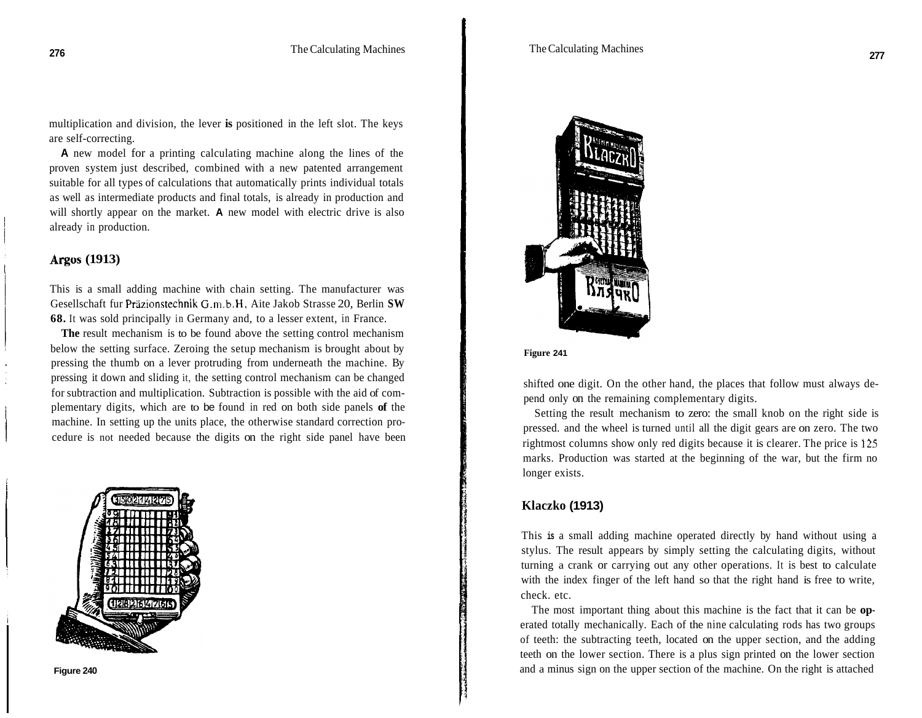multiplication and division, the lever **is** positioned in the left slot. The keys are self-correcting.

**A** new model for a printing calculating machine along the lines of the proven system just described, combined with a new patented arrangement suitable for all types of calculations that automatically prints individual totals as well as intermediate products and final totals, is already in production and will shortly appear on the market. **A** new model with electric drive is also already in production.

### **Argos (1913)**

This is a small adding machine with chain setting. The manufacturer was Gesellschaft fur Präzionstechnik G.m.b.H, Aite Jakob Strasse 20, Berlin SW **68.** It was sold principally in Germany and, to a lesser extent, in France.

**The** result mechanism is to be found above the setting control mechanism below the setting surface. Zeroing the setup mechanism is brought about by pressing the thumb on a lever protruding from underneath the machine. By pressing it down and sliding it, the setting control mechanism can be changed for subtraction and multiplication. Subtraction is possible with the aid of complementary digits, which are to be found in red on both side panels **of** the machine. In setting up the units place, the otherwise standard correction procedure is not needed because the digits on the right side panel have been





#### **Figure 241**

shifted one digit. On the other hand, the places that follow must always depend only on the remaining complementary digits.

Setting the result mechanism to zero: the small knob on the right side is pressed. and the wheel is turned until all the digit gears are on zero. The two rightmost columns show only red digits because it is clearer. The price is **125**  marks. Production was started at the beginning of the war, but the firm no longer exists.

#### **Klaczko (1913)**

This **is** a small adding machine operated directly by hand without using a stylus. The result appears by simply setting the calculating digits, without turning a crank or carrying out any other operations. It is best to calculate with the index finger of the left hand so that the right hand is free to write, check. etc.

The most important thing about this machine is the fact that it can be **op**erated totally mechanically. Each of the nine calculating rods has two groups of teeth: the subtracting teeth, located on the upper section, and the adding teeth on the lower section. There is a plus sign printed on the lower section and a minus sign on the upper section of the machine. On the right is attached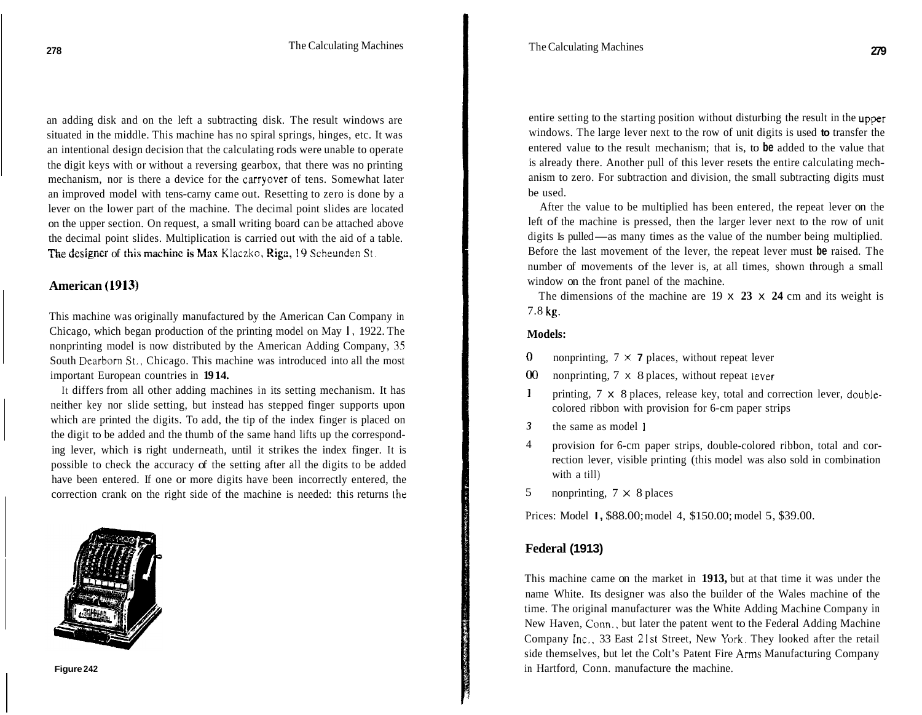an adding disk and on the left a subtracting disk. The result windows are situated in the middle. This machine has no spiral springs, hinges, etc. It was an intentional design decision that the calculating rods were unable to operate the digit keys with or without a reversing gearbox, that there was no printing mechanism, nor is there a device for the carryover of tens. Somewhat later an improved model with tens-carny came out. Resetting to zero is done by a lever on the lower part of the machine. The decimal point slides are located on the upper section. On request, a small writing board can be attached above the decimal point slides. Multiplication is carried out with the aid of a table. **the absolute Section.** On request, a small writing board can be attached a the decimal point slides. Multiplication is carried out with the aid of a the designer of this machine is Max Klaczko, Riga, 19 Scheunden St.

#### **American (1913)**

This machine was originally manufactured by the American Can Company in Chicago, which began production of the printing model on May **I,** 1922. The nonprinting model is now distributed by the American Adding Company, **35**  South Dearborn **St.,** Chicago. This machine was introduced into all the most important European countries in **19 14.** 

It differs from all other adding machines in its setting mechanism. It has neither key nor slide setting, but instead has stepped finger supports upon which are printed the digits. To add, the tip of the index finger is placed on the digit to be added and the thumb of the same hand lifts up the corresponding lever, which **is** right underneath, until it strikes the index finger. It is possible to check the accuracy of the setting after all the digits to be added have been entered. If one or more digits have been incorrectly entered, the correction crank on the right side of the machine is needed: this returns the



entire setting to the starting position without disturbing the result in the upper windows. The large lever next to the row of unit digits is used **to** transfer the entered value to the result mechanism; that is, to **be** added to the value that is already there. Another pull of this lever resets the entire calculating mechanism to zero. For subtraction and division, the small subtracting digits must be used.

After the value to be multiplied has been entered, the repeat lever on the left of the machine is pressed, then the larger lever next to the row of unit digits Is pulled—as many times as the value of the number being multiplied. Before the last movement of the lever, the repeat lever must **be** raised. The number of movements of the lever is, at all times, shown through a small window on the front panel of the machine.

The dimensions of the machine are 19 x **23** x **24** cm and its weight is 7.8 **kg.** 

#### **Models:**

- **0**  nonprinting,  $7 \times 7$  places, without repeat lever
- *00*  nonprinting, 7 X 8 places, without repeat lever
- **1**  printing, 7 x 8 places, release key, total and correction lever, doublecolored ribbon with provision for 6-cm paper strips
- the same as model <sup>1</sup> *3*
- provision for 6-cm paper strips, double-colored ribbon, total and correction lever, visible printing (this model was also sold in combination with a till) 4
- nonprinting,  $7 \times 8$  places 5

Prices: Model **I,** \$88.00; model 4, \$150.00; model 5, \$39.00.

#### **Federal (1913)**

This machine came on the market in **1913,** but at that time it was under the name White. Its designer was also the builder of the Wales machine of the time. The original manufacturer was the White Adding Machine Company in New Haven, Conn., but later the patent went to the Federal Adding Machine Company Inc., 33 East 21st Street, New **York.** They looked after the retail side themselves, but let the Colt's Patent Fire Arms Manufacturing Company in Hartford, Conn. manufacture the machine.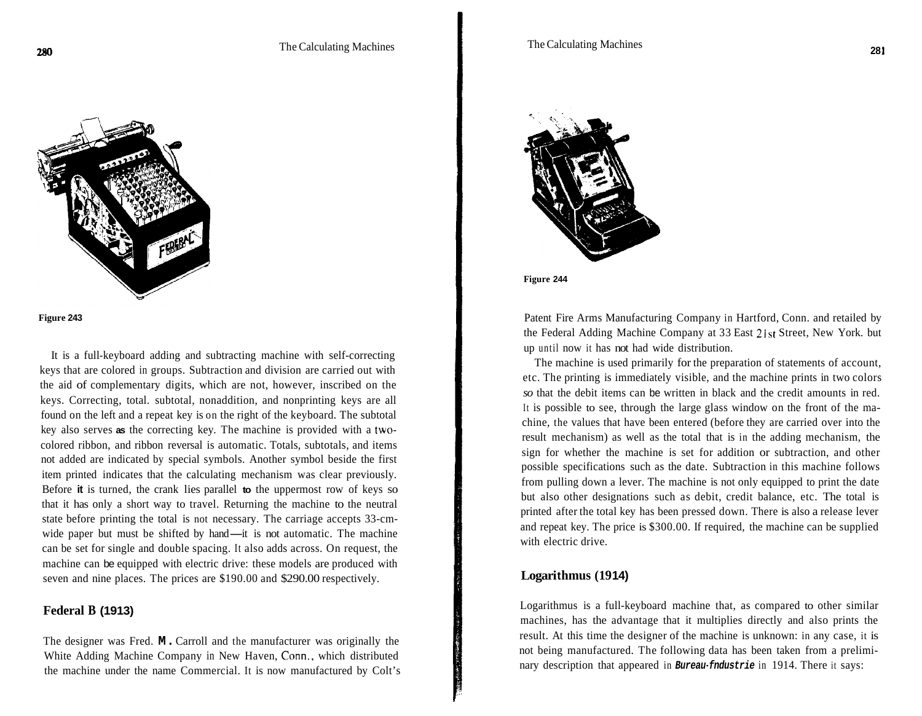**Figure 243** 

It is a full-keyboard adding and subtracting machine with self-correcting keys that are colored in groups. Subtraction and division are carried out with the aid of complementary digits, which are not, however, inscribed on the keys. Correcting, total. subtotal, nonaddition, and nonprinting keys are all found on the left and a repeat key is on the right of the keyboard. The subtotal key also serves **as** the correcting key. The machine is provided with a twocolored ribbon, and ribbon reversal is automatic. Totals, subtotals, and items not added are indicated by special symbols. Another symbol beside the first item printed indicates that the calculating mechanism was clear previously. Before **it** is turned, the crank lies parallel **to** the uppermost row of keys so that it has only a short way to travel. Returning the machine to the neutral state before printing the total is not necessary. The carriage accepts 33-cmwide paper but must be shifted by hand—it is not automatic. The machine can be set for single and double spacing. It also adds across. On request, the machine can be equipped with electric drive: these models are produced with seven and nine places. The prices are \$190.00 and \$290.00 respectively.

## **Federal B (1913)**

The designer was Fred. **M.** Carroll and the manufacturer was originally the White Adding Machine Company in New Haven, Conn.. which distributed the machine under the name Commercial. It is now manufactured by Colt's



**Figure 244** 

Patent Fire Arms Manufacturing Company in Hartford, Conn. and retailed by the Federal Adding Machine Company at 33 East 21st Street, New York. but up until now it has not had wide distribution.

The machine is used primarily for the preparation of statements of account, etc. The printing is immediately visible, and the machine prints in two colors *so* that the debit items can be written in black and the credit amounts in red. It is possible to see, through the large glass window on the front of the machine, the values that have been entered (before they are carried over into the result mechanism) as well as the total that is in the adding mechanism, the sign for whether the machine is set for addition or subtraction, and other possible specifications such as the date. Subtraction in this machine follows from pulling down a lever. The machine is not only equipped to print the date but also other designations such as debit, credit balance, etc. The total is printed after the total key has been pressed down. There is also a release lever and repeat key. The price is \$300.00. If required, the machine can be supplied with electric drive.

#### *Logarithmus* **(1914)**

Logarithmus is a full-keyboard machine that, as compared to other similar machines, has the advantage that it multiplies directly and also prints the result. At this time the designer of the machine is unknown: in any case, it is not being manufactured. The following data has been taken from a preliminary description that appeared in **Bureau-fndustrie** in 1914. There it says: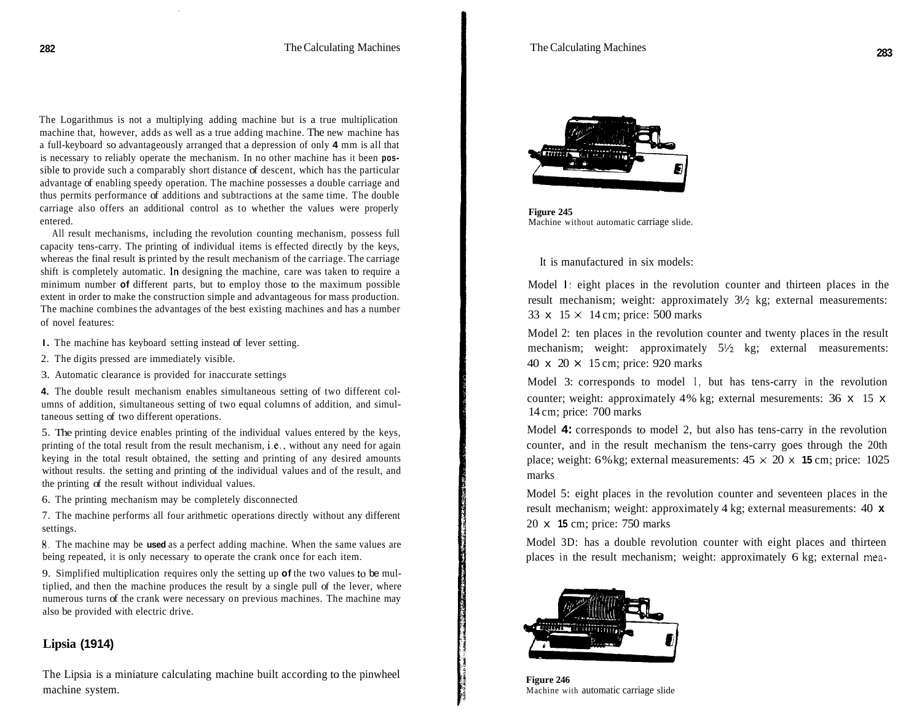The Logarithmus is not a multiplying adding machine but is a true multiplication machine that, however, adds as well as a true adding machine. The new machine has a full-keyboard so advantageously arranged that a depression of only **4** mm is all that is necessary to reliably operate the mechanism. In no other machine has it been **pos**sible to provide such a comparably short distance of descent, which has the particular advantage of enabling speedy operation. The machine possesses a double carriage and thus permits performance of additions and subtractions at the same time. The double carriage also offers an additional control as to whether the values were properly entered.

All result mechanisms, including the revolution counting mechanism, possess full capacity tens-carry. The printing of individual items is effected directly by the keys, whereas the final result is printed by the result mechanism of the carriage. The carriage shift is completely automatic. In designing the machine, care was taken to require a minimum number **of** different parts, but to employ those to the maximum possible extent in order to make the construction simple and advantageous for mass production. The machine combines the advantages of the best existing machines and has a number of novel features:

- **I.** The machine has keyboard setting instead of lever setting.
- 2. The digits pressed are immediately visible.
- 3. Automatic clearance is provided for inaccurate settings

**4.** The double result mechanism enables simultaneous setting of two different columns of addition, simultaneous setting of two equal columns of addition, and simultaneous setting of two different operations.

5. The printing device enables printing of the individual values entered by the keys, printing of the total result from the result mechanism, i.e., without any need for again keying in the total result obtained, the setting and printing of any desired amounts without results. the setting and printing of the individual values and of the result, and the printing of the result without individual values.

6. The printing mechanism may be completely disconnected

7. The machine performs all four arithmetic operations directly without any different settings.

**8.** The machine may be **used** as a perfect adding machine. When the same values are being repeated, it is only necessary to operate the crank once for each item.

9. Simplified multiplication requires only the setting up **of** the two values to be multiplied, and then the machine produces the result by a single pull of the lever, where numerous turns of the crank were necessary on previous machines. The machine may also be provided with electric drive.

# **Lipsia (1914)**

The Lipsia is a miniature calculating machine built according to the pinwheel machine system.



**Figure 245**  Machine without automatic carriage slide.

It is manufactured in six models:

Model **1:** eight places in the revolution counter and thirteen places in the result mechanism; weight: approximately  $3\frac{1}{2}$  kg; external measurements: 33  $\times$  15  $\times$  14 cm; price: 500 marks

Model 2: ten places in the revolution counter and twenty places in the result mechanism; weight: approximately 5<sup>1</sup>/<sub>2</sub> kg; external measurements: 40  $\times$  20  $\times$  15 cm; price: 920 marks

Model 3: corresponds to model I, but has tens-carry in the revolution counter; weight: approximately 4% kg; external mesurements: 36 x 15 x 14 cm; price: 700 marks

Model **4:** corresponds to model 2, but also has tens-carry in the revolution counter, and in the result mechanism the tens-carry goes through the 20th place; weight: 6% kg; external measurements:  $45 \times 20 \times 15$  cm; price: 1025 marks

Model 5: eight places in the revolution counter and seventeen places in the result mechanism; weight: approximately 4 kg; external measurements: 40 **x**  20 x **15** cm; price: 750 marks

Model 3D: has a double revolution counter with eight places and thirteen places in the result mechanism; weight: approximately 6 kg; external mea-



**Figure 246**  Machine with automatic carriage slide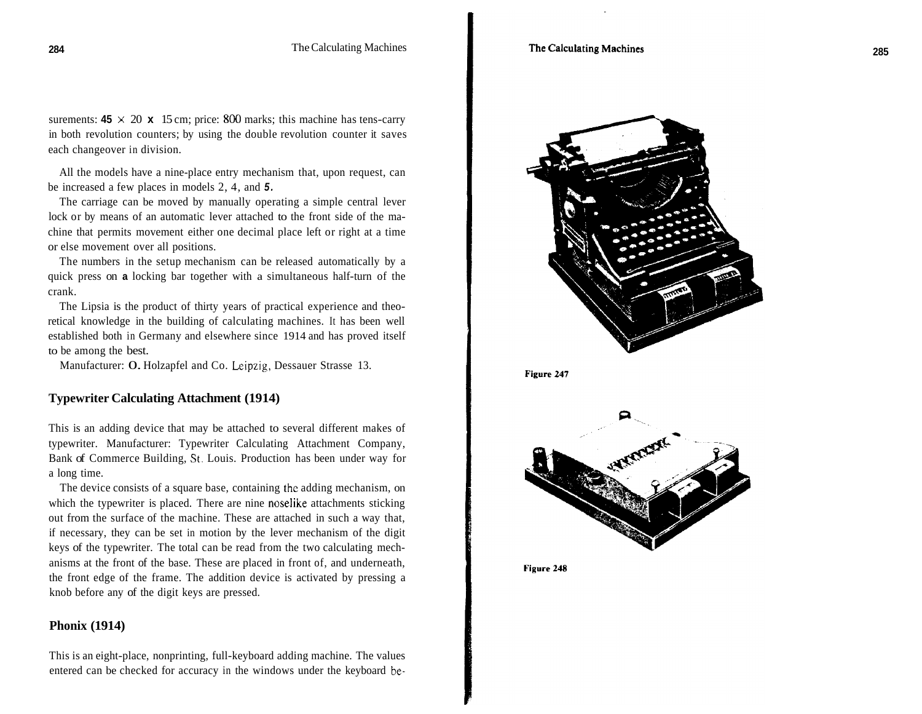surements:  $45 \times 20 \times 15$  cm; price: 800 marks; this machine has tens-carry in both revolution counters; by using the double revolution counter it saves each changeover in division.

All the models have a nine-place entry mechanism that, upon request, can be increased a few places in models 2, 4, and *5.* 

The carriage can be moved by manually operating a simple central lever lock or by means of an automatic lever attached to the front side of the machine that permits movement either one decimal place left or right at a time or else movement over all positions.

The numbers in the setup mechanism can be released automatically by a quick press on **a** locking bar together with a simultaneous half-turn of the crank.

The Lipsia is the product of thirty years of practical experience and theoretical knowledge in the building of calculating machines. It has been well established both in Germany and elsewhere since 1914 and has proved itself to be among the best.

Manufacturer: 0. Holzapfel and Co. Leipzig, Dessauer Strasse 13.

#### **Typewriter Calculating Attachment (1914)**

This is an adding device that may be attached to several different makes of typewriter. Manufacturer: Typewriter Calculating Attachment Company, Bank of Commerce Building, **St.** Louis. Production has been under way for a long time.

The device consists of a square base, containing thc adding mechanism, on which the typewriter is placed. There are nine noselike attachments sticking out from the surface of the machine. These are attached in such a way that, if necessary, they can be set in motion by the lever mechanism of the digit keys of the typewriter. The total can be read from the two calculating mechanisms at the front of the base. These are placed in front of, and underneath, the front edge of the frame. The addition device is activated by pressing a knob before any of the digit keys are pressed.

### **Phonix (1914)**

This is an eight -place, nonprinting, full -keyboard adding machine. The values entered can be checked for accuracy in the windows under the keyboard be-



Figure 247



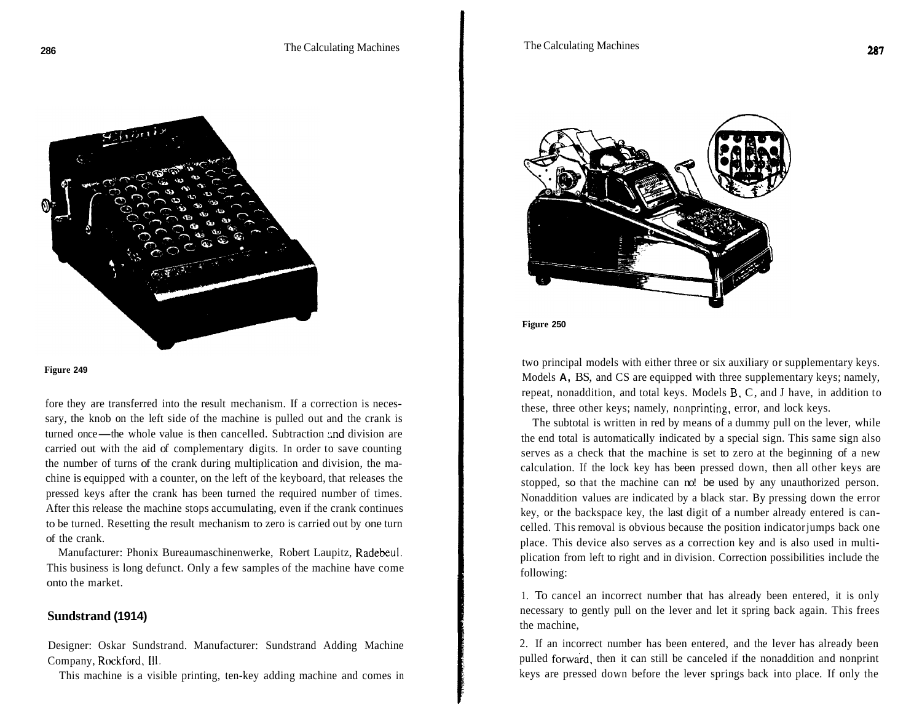

#### **Figure 249**

fore they are transferred into the result mechanism. If a correction is necessary, the knob on the left side of the machine is pulled out and the crank is fore they are transferred into the result mechanism. If a correction is neces-<br>sary, the knob on the left side of the machine is pulled out and the crank is<br>turned once—the whole value is then cancelled. Subtraction and di carried out with the aid of complementary digits. In order to save counting the number of turns of the crank during multiplication and division, the machine is equipped with a counter, on the left of the keyboard, that releases the pressed keys after the crank has been turned the required number of times. After this release the machine stops accumulating, even if the crank continues to be turned. Resetting the result mechanism to zero is carried out by one turn of the crank.

Manufacturer: Phonix Bureaumaschinenwerke, Robert Laupitz, Radebeul. This business is long defunct. Only a few samples of the machine have come onto the market.

#### **Sundstrand (1914)**

Designer: Oskar Sundstrand. Manufacturer: Sundstrand Adding Machine Company, Rockford, Ill.

This machine is a visible printing, ten-key adding machine and comes in



**Figure 250** 

two principal models with either three or six auxiliary or supplementary keys. Models **A,** BS, and CS are equipped with three supplementary keys; namely, repeat, nonaddition, and total keys. Models B. C, and J have, in addition to these, three other keys; namely, nonprinting, error, and lock keys.

The subtotal is written in red by means of a dummy pull on the lever, while the end total is automatically indicated by a special sign. This same sign also serves as a check that the machine is set to zero at the beginning of a new calculation. If the lock key has been pressed down, then all other keys are stopped, so that the machine can no! be used by any unauthorized person. Nonaddition values are indicated by a black star. By pressing down the error key, or the backspace key, the last digit of a number already entered is cancelled. This removal is obvious because the position indicator jumps back one place. This device also serves as a correction key and is also used in multiplication from left to right and in division. Correction possibilities include the following:

1. To cancel an incorrect number that has already been entered, it is only necessary to gently pull on the lever and let it spring back again. This frees the machine,

2. If an incorrect number has been entered, and the lever has already been pulled forward, then it can still be canceled if the nonaddition and nonprint keys are pressed down before the lever springs back into place. If only the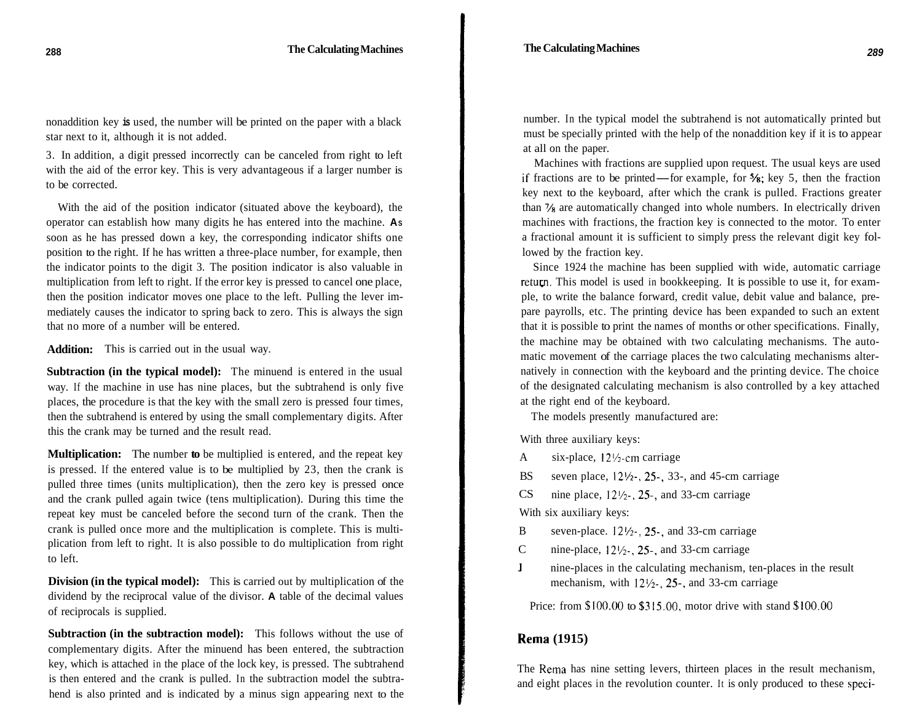nonaddition key **is** used, the number will be printed on the paper with a black star next to it, although it is not added.

3. In addition, a digit pressed incorrectly can be canceled from right to left with the aid of the error key. This is very advantageous if a larger number is to be corrected.

With the aid of the position indicator (situated above the keyboard), the operator can establish how many digits he has entered into the machine. **AS**  soon as he has pressed down a key, the corresponding indicator shifts one position to the right. If he has written a three-place number, for example, then the indicator points to the digit 3. The position indicator is also valuable in multiplication from left to right. If the error key is pressed to cancel one place, then the position indicator moves one place to the left. Pulling the lever immediately causes the indicator to spring back to zero. This is always the sign that no more of a number will be entered.

**Addition:**  This is carried out in the usual way.

**Subtraction (in the typical model):** The minuend is entered in the usual way. If the machine in use has nine places, but the subtrahend is only five places, the procedure is that the key with the small zero is pressed four times, then the subtrahend is entered by using the small complementary digits. After this the crank may be turned and the result read.

**Multiplication:** The number **to** be multiplied is entered, and the repeat key is pressed. If the entered value is to be multiplied by 23, then the crank is pulled three times (units multiplication), then the zero key is pressed once and the crank pulled again twice (tens multiplication). During this time the repeat key must be canceled before the second turn of the crank. Then the crank is pulled once more and the multiplication is complete. This is multiplication from left to right. It is also possible to do multiplication from right to left.

**Division (in the typical model):** This is carried out by multiplication of the dividend by the reciprocal value of the divisor. **A** table of the decimal values of reciprocals is supplied.

**Subtraction (in the subtraction model):** This follows without the use of complementary digits. After the minuend has been entered, the subtraction key, which is attached in the place of the lock key, is pressed. The subtrahend is then entered and the crank is pulled. In the subtraction model the subtrahend is also printed and is indicated by a minus sign appearing next to the

number. In the typical model the subtrahend is not automatically printed but must be specially printed with the help of the nonaddition key if it is to appear at all on the paper.

Machines with fractions are supplied upon request. The usual keys are used if fractions are to be printed-for example, for **7s;** key 5, then the fraction key next to the keyboard, after which the crank is pulled. Fractions greater than % are automatically changed into whole numbers. In electrically driven machines with fractions, the fraction key is connected to the motor. To enter a fractional amount it is sufficient to simply press the relevant digit key followed by the fraction key.

Since 1924 the machine has been supplied with wide, automatic carriage return. This model is used in bookkeeping. It is possible to use it, for example, to write the balance forward, credit value, debit value and balance, prepare payrolls, etc. The printing device has been expanded to such an extent that it is possible to print the names of months or other specifications. Finally, the machine may be obtained with two calculating mechanisms. The automatic movement of the carriage places the two calculating mechanisms alternatively in connection with the keyboard and the printing device. The choice of the designated calculating mechanism is also controlled by a key attached at the right end of the keyboard.

The models presently manufactured are:

With three auxiliary keys:

A six-place, I2%-cm carriage

BS seven place, **12'/2-,** 25, 33-, and 45-cm carriage

CS nine place,  $12\frac{1}{2}$ , 25-, and 33-cm carriage

With six auxiliary keys:

- B seven-place.  $12\frac{1}{2}$ , 25, and 33-cm carriage
- C nine-place,  $12\frac{1}{2}$ . 25-, and 33-cm carriage
- **J**  nine-places in the calculating mechanism, ten-places in the result mechanism, with  $12\frac{1}{2}$ , 25-, and 33-cm carriage

Price: from **\$lOO.OO** to \$315.00, motor drive with stand \$lOO.OO

# **Rema (1915)**

The Rema has nine setting levers, thirteen places in the result mechanism, and eight places in the revolution counter. It is only produced to these speci-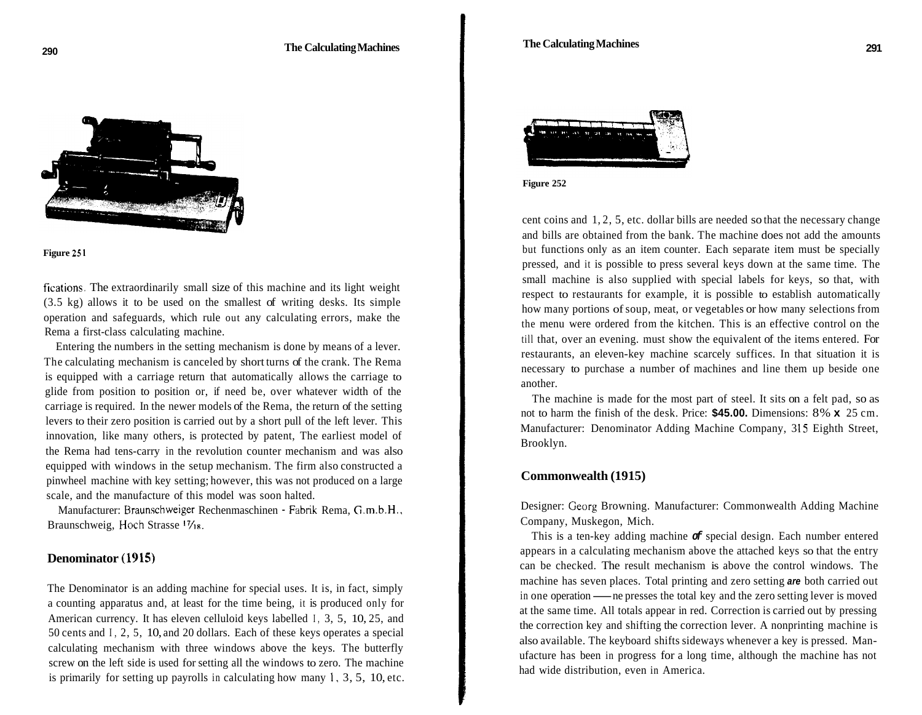



fications. The extraordinarily small size of this machine and its light weight (3.5 kg) allows it to be used on the smallest of writing desks. Its simple operation and safeguards, which rule out any calculating errors, make the Rema a first-class calculating machine.

Entering the numbers in the setting mechanism is done by means of a lever. The calculating mechanism is canceled by short turns of the crank. The Rema is equipped with a carriage return that automatically allows the carriage to glide from position to position or, if need be, over whatever width of the carriage is required. In the newer models of the Rema, the return of the setting levers to their zero position is carried out by a short pull of the left lever. This innovation, like many others, is protected by patent, The earliest model of the Rema had tens-carry in the revolution counter mechanism and was also equipped with windows in the setup mechanism. The firm also constructed a pinwheel machine with key setting; however, this was not produced on a large scale, and the manufacture of this model was soon halted.

Manufacturer: Braunschweiger Rechenmaschinen - Fabrik Rema, G.m.b.H., Braunschweig, Hoch Strasse <sup>17</sup>/18.

## **Denominator (1915)**

The Denominator is an adding machine for special uses. It is, in fact, simply a counting apparatus and, at least for the time being, it is produced only for American currency. It has eleven celluloid keys labelled I, 3, 5, 10, 25, and 50 cents and I, 2, 5, 10, and 20 dollars. Each of these keys operates a special calculating mechanism with three windows above the keys. The butterfly screw on the left side is used for setting all the windows to zero. The machine is primarily for setting up payrolls in calculating how many **1,** 3, 5, 10, etc.





cent coins and 1, 2, 5, etc. dollar bills are needed so that the necessary change and bills are obtained from the bank. The machine does not add the amounts but functions only as an item counter. Each separate item must be specially pressed, and it is possible to press several keys down at the same time. The small machine is also supplied with special labels for keys, so that, with respect to restaurants for example, it is possible to establish automatically how many portions of soup, meat, or vegetables or how many selections from the menu were ordered from the kitchen. This is an effective control on the till that, over an evening. must show the equivalent of the items entered. For restaurants, an eleven-key machine scarcely suffices. In that situation it is necessary to purchase a number of machines and line them up beside one another.

The machine is made for the most part of steel. It sits on a felt pad, so as not to harm the finish of the desk. Price: **\$45.00.** Dimensions: 8% **x** 25 cm. Manufacturer: Denominator Adding Machine Company, 315 Eighth Street, Brooklyn.

#### **Commonwealth (1915)**

Designer: Ceorg Browning. Manufacturer: Commonwealth Adding Machine Company, Muskegon, Mich.

This is a ten-key adding machine *of* special design. Each number entered appears in a calculating mechanism above the attached keys so that the entry can be checked. The result mechanism is above the control windows. The machine has seven places. Total printing and zero setting *are* both carried out in one operation — ne presses the total key and the zero setting lever is moved at the same time. All totals appear in red. Correction is carried out by pressing the correction key and shifting the correction lever. A nonprinting machine is also available. The keyboard shifts sideways whenever a key is pressed. Manufacture has been in progress for a long time, although the machine has not had wide distribution, even in America.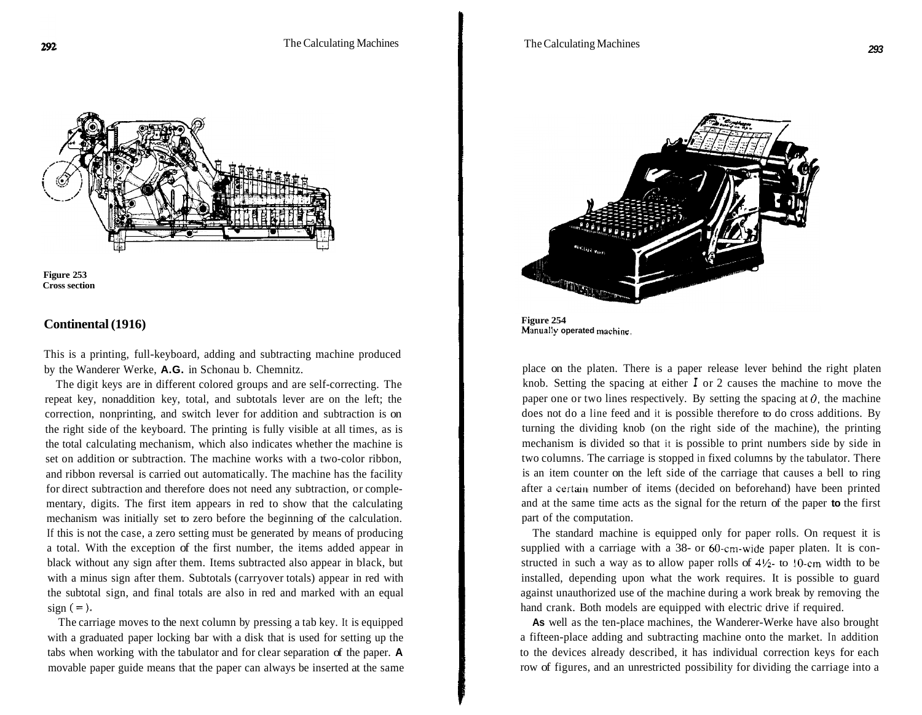



#### **Continental (1916)**

This is a printing, full-keyboard, adding and subtracting machine produced by the Wanderer Werke, **A.G.** in Schonau b. Chemnitz.

The digit keys are in different colored groups and are self-correcting. The repeat key, nonaddition key, total, and subtotals lever are on the left; the correction, nonprinting, and switch lever for addition and subtraction is on the right side of the keyboard. The printing is fully visible at all times, as is the total calculating mechanism, which also indicates whether the machine is set on addition or subtraction. The machine works with a two-color ribbon, and ribbon reversal is carried out automatically. The machine has the facility for direct subtraction and therefore does not need any subtraction, or complementary, digits. The first item appears in red to show that the calculating mechanism was initially set to zero before the beginning of the calculation. If this is not the case, a zero setting must be generated by means of producing a total. With the exception of the first number, the items added appear in black without any sign after them. Items subtracted also appear in black, but with a minus sign after them. Subtotals (carryover totals) appear in red with the subtotal sign, and final totals are also in red and marked with an equal  $sign (=).$ 

The carriage moves to the next column by pressing a tab key. It is equipped with a graduated paper locking bar with a disk that is used for setting up the tabs when working with the tabulator and for clear separation of the paper. **A**  movable paper guide means that the paper can always be inserted at the same



**Figure 254 Manually operated machine.** 

place on the platen. There is a paper release lever behind the right platen knob. Setting the spacing at either *I* or 2 causes the machine to move the paper one or two lines respectively. By setting the spacing at  $\theta$ , the machine does not do a line feed and it is possible therefore to do cross additions. By turning the dividing knob (on the right side of the machine), the printing mechanism is divided so that it is possible to print numbers side by side in two columns. The carriage is stopped in fixed columns by the tabulator. There is an item counter on the left side of the carriage that causes a bell to ring after a **certain** number of items (decided on beforehand) have been printed and at the same time acts as the signal for the return of the paper **to** the first part of the computation.

The standard machine is equipped only for paper rolls. On request it is supplied with a carriage with a 38- or 60-cm-wide paper platen. It is constructed in such a way as to allow paper rolls of  $4\frac{1}{2}$ - to 10-cm width to be installed, depending upon what the work requires. It is possible to guard against unauthorized use of the machine during a work break by removing the hand crank. Both models are equipped with electric drive if required.

**As** well as the ten-place machines, the Wanderer-Werke have also brought a fifteen-place adding and subtracting machine onto the market. In addition to the devices already described, it has individual correction keys for each row of figures, and an unrestricted possibility for dividing the carriage into a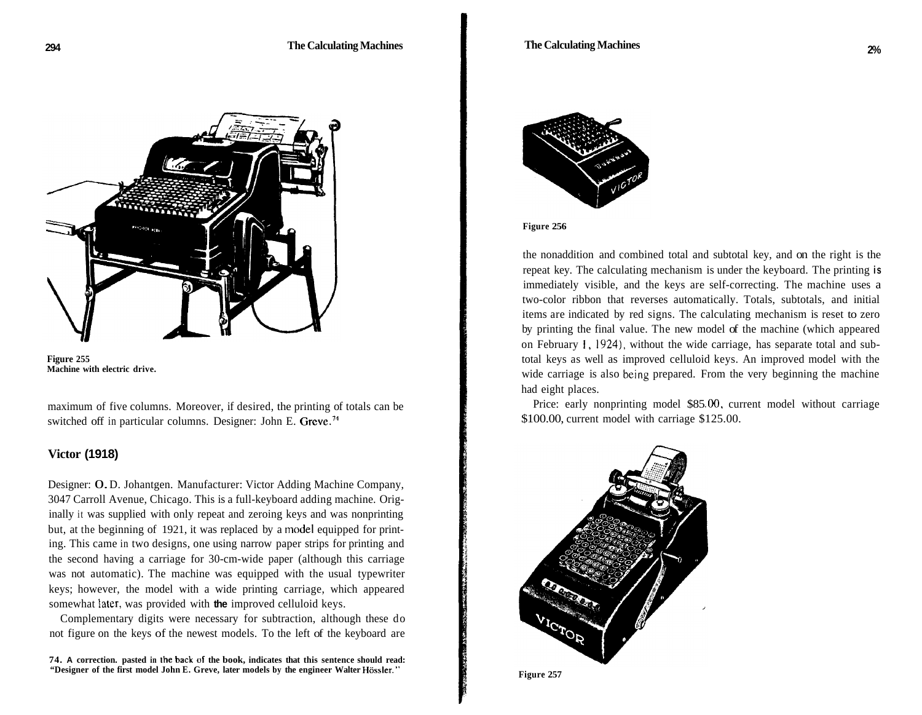

**Figure 255 Machine with electric drive.** 

maximum of five columns. Moreover, if desired, the printing of totals can be switched off in particular columns. Designer: John E. Greve.<sup>74</sup>

### **Victor (1918)**

Designer: 0. D. Johantgen. Manufacturer: Victor Adding Machine Company, 3047 Carroll Avenue, Chicago. This is a full-keyboard adding machine. Originally it was supplied with only repeat and zeroing keys and was nonprinting but, at the beginning of 1921, it was replaced by a model equipped for printing. This came in two designs, one using narrow paper strips for printing and the second having a carriage for 30-cm-wide paper (although this carriage was not automatic). The machine was equipped with the usual typewriter keys; however, the model with a wide printing carriage, which appeared somewhat iater, was provided with **the** improved celluloid keys.

Complementary digits were necessary for subtraction, although these do not figure on the keys of the newest models. To the left of the keyboard are

**74. A correction. pasted in the back of the book, indicates that this sentence should read: "Designer of the first model John E. Greve, later models by the engineer Walter Hossler."** 



#### **Figure 256**

the nonaddition and combined total and subtotal key, and on the right is the repeat key. The calculating mechanism is under the keyboard. The printing **is**  immediately visible, and the keys are self-correcting. The machine uses a two-color ribbon that reverses automatically. Totals, subtotals, and initial items are indicated by red signs. The calculating mechanism is reset to zero by printing the final value. The new model of the machine (which appeared on February 1, 1924), without the wide carriage, has separate total and subtotal keys as well as improved celluloid keys. An improved model with the wide carriage is also being prepared. From the very beginning the machine had eight places.

Price: early nonprinting model \$85.00, current model without carriage \$100.00, current model with carriage \$125.00.



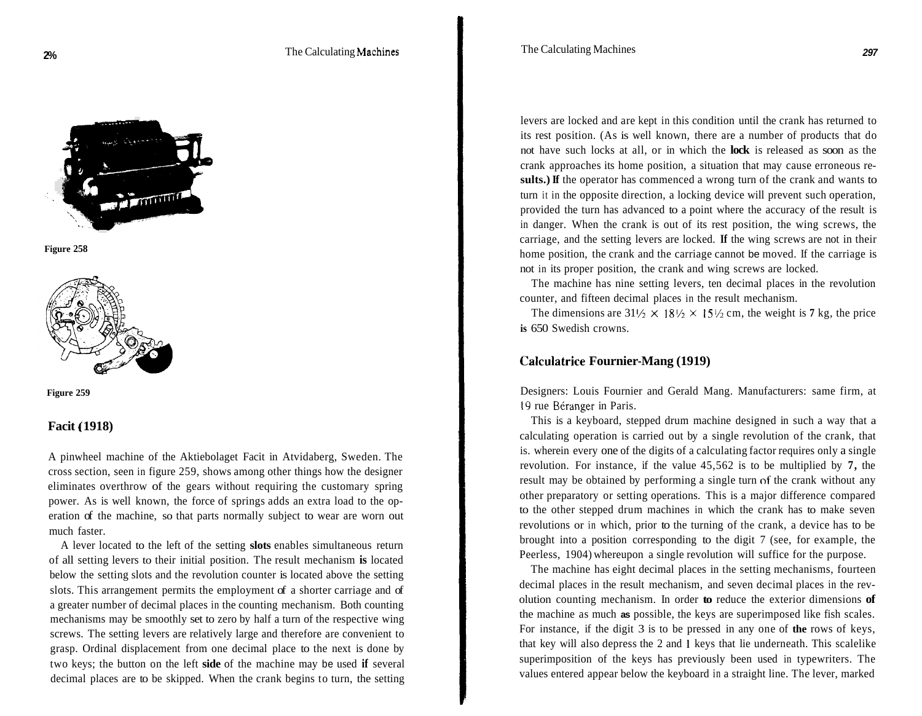



**Figure 258** 

# **Facit** ( **1918)**

A pinwheel machine of the Aktiebolaget Facit in Atvidaberg, Sweden. The cross section, seen in figure 259, shows among other things how the designer eliminates overthrow of the gears without requiring the customary spring power. As is well known, the force of springs adds an extra load to the operation of the machine, so that parts normally subject to wear are worn out much faster.

A lever located to the left of the setting **slots** enables simultaneous return of all setting levers to their initial position. The result mechanism **is** located below the setting slots and the revolution counter is located above the setting slots. This arrangement permits the employment of a shorter carriage and of a greater number of decimal places in the counting mechanism. Both counting mechanisms may be smoothly set to zero by half a turn of the respective wing screws. The setting levers are relatively large and therefore are convenient to grasp. Ordinal displacement from one decimal place to the next is done by two keys; the button on the left **side** of the machine may be used **if** several decimal places are to be skipped. When the crank begins to turn, the setting

levers are locked and are kept in this condition until the crank has returned to its rest position. (As is well known, there are a number of products that do not have such locks at all, or in which the **lock** is released as soon as the crank approaches its home position, a situation that may cause erroneous results.) If the operator has commenced a wrong turn of the crank and wants to turn it in the opposite direction, a locking device will prevent such operation, provided the turn has advanced to a point where the accuracy of the result is in danger. When the crank is out of its rest position, the wing screws, the carriage, and the setting levers are locked. **If** the wing screws are not in their home position, the crank and the carriage cannot be moved. If the carriage is not in its proper position, the crank and wing screws are locked.

The machine has nine setting levers, ten decimal places in the revolution counter, and fifteen decimal places in the result mechanism.

The dimensions are  $31\frac{1}{2} \times 18\frac{1}{2} \times 15\frac{1}{2}$  cm, the weight is 7 kg, the price **is** 650 Swedish crowns.

### **Calculatrice Fournier-Mang (1919)**

Designers: Louis Fournier and Gerald Mang. Manufacturers: same firm, at 19 rue Béranger in Paris.

This is a keyboard, stepped drum machine designed in such a way that a calculating operation is carried out by a single revolution of the crank, that is. wherein every one of the digits of a calculating factor requires only a single revolution. For instance, if the value 45,562 is to be multiplied by **7,** the result may be obtained by performing a single turn **nf** the crank without any other preparatory or setting operations. This is a major difference compared to the other stepped drum machines in which the crank has to make seven revolutions or in which, prior to the turning of the crank, a device has to be brought into a position corresponding to the digit 7 (see, for example, the Peerless, 1904) whereupon a single revolution will suffice for the purpose.

The machine has eight decimal places in the setting mechanisms, fourteen decimal places in the result mechanism, and seven decimal places in the revolution counting mechanism. In order **to** reduce the exterior dimensions **of**  the machine as much **as** possible, the keys are superimposed like fish scales. For instance, if the digit 3 is to be pressed in any one of **the** rows of keys, that key will also depress the 2 and **1** keys that lie underneath. This scalelike superimposition of the keys has previously been used in typewriters. The values entered appear below the keyboard in a straight line. The lever, marked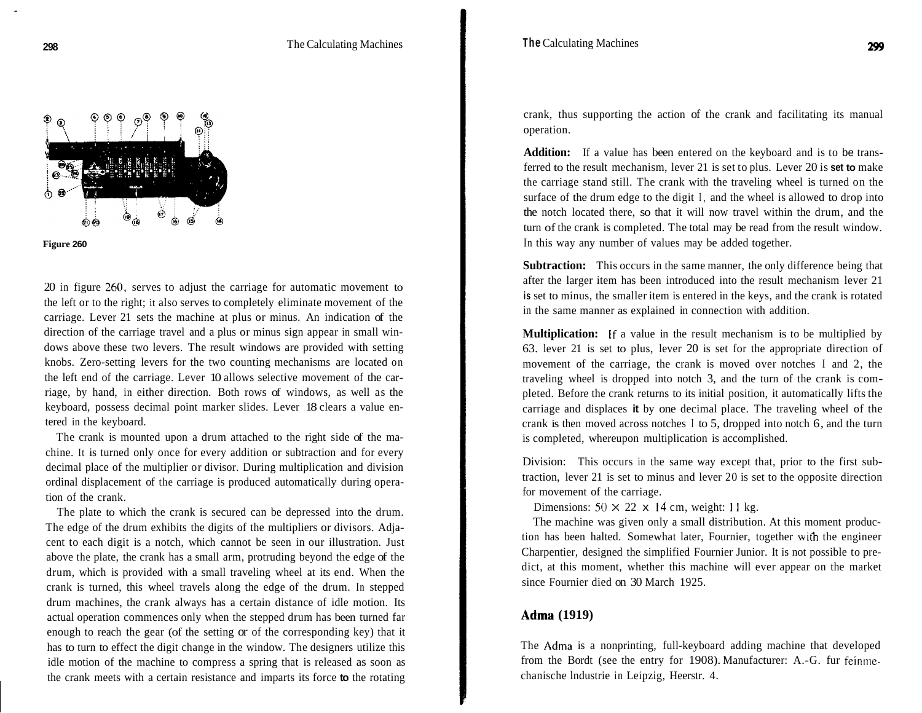



20 in figure *260,* serves to adjust the carriage for automatic movement to the left or to the right; it also serves to completely eliminate movement of the carriage. Lever 21 sets the machine at plus or minus. An indication of the direction of the carriage travel and a plus or minus sign appear in small windows above these two levers. The result windows are provided with setting knobs. Zero-setting levers for the two counting mechanisms are located on the left end of the carriage. Lever 10 allows selective movement of the carriage, by hand, in either direction. Both rows of windows, as well as the keyboard, possess decimal point marker slides. Lever 18 clears a value entered in the keyboard.

The crank is mounted upon a drum attached to the right side of the machine. It is turned only once for every addition or subtraction and for every decimal place of the multiplier or divisor. During multiplication and division ordinal displacement of the carriage is produced automatically during operation of the crank.

The plate to which the crank is secured can be depressed into the drum. The edge of the drum exhibits the digits of the multipliers or divisors. Adjacent to each digit is a notch, which cannot be seen in our illustration. Just above the plate, the crank has a small arm, protruding beyond the edge of the drum, which is provided with a small traveling wheel at its end. When the crank is turned, this wheel travels along the edge of the drum. In stepped drum machines, the crank always has a certain distance of idle motion. Its actual operation commences only when the stepped drum has been turned far enough to reach the gear (of the setting or of the corresponding key) that it has to turn to effect the digit change in the window. The designers utilize this idle motion of the machine to compress a spring that is released as soon as the crank meets with a certain resistance and imparts its force **to** the rotating

crank, thus supporting the action of the crank and facilitating its manual operation.

**Addition:** If a value has been entered on the keyboard and is to be transferred to the result mechanism, lever 21 is set to plus. Lever 20 is **set to** make the carriage stand still. The crank with the traveling wheel is turned on the surface of the drum edge to the digit I, and the wheel is allowed to drop into the notch located there, so that it will now travel within the drum, and the turn of the crank is completed. The total may be read from the result window. In this way any number of values may be added together.

**Subtraction:** This occurs in the same manner, the only difference being that after the larger item has been introduced into the result mechanism lever 21 **is** set to minus, the smaller item is entered in the keys, and the crank is rotated in the same manner as explained in connection with addition.

**Multiplication:** If a value in the result mechanism is to be multiplied by 63. lever 21 is set to plus, lever 20 is set for the appropriate direction of movement of the carriage, the crank is moved over notches I and 2, the traveling wheel is dropped into notch 3, and the turn of the crank is completed. Before the crank returns to its initial position, it automatically lifts the carriage and displaces **it** by one decimal place. The traveling wheel of the crank is then moved across notches I to 5, dropped into notch 6, and the turn is completed, whereupon multiplication is accomplished.

Division: This occurs in the same way except that, prior to the first subtraction, lever 21 is set to minus and lever 20 is set to the opposite direction for movement of the carriage.

Dimensions:  $50 \times 22 \times 14$  cm, weight: 11 kg.

The machine was given only a small distribution. At this moment production has been halted. Somewhat later, Fournier, together with the engineer Charpentier, designed the simplified Fournier Junior. It is not possible to predict, at this moment, whether this machine will ever appear on the market since Fournier died on 30 March 1925.

#### **Adma (1919)**

The Adma is a nonprinting, full-keyboard adding machine that developed from the Bordt (see the entry for 1908). Manufacturer: A.-G. fur feinmechanische lndustrie in Leipzig, Heerstr. 4.